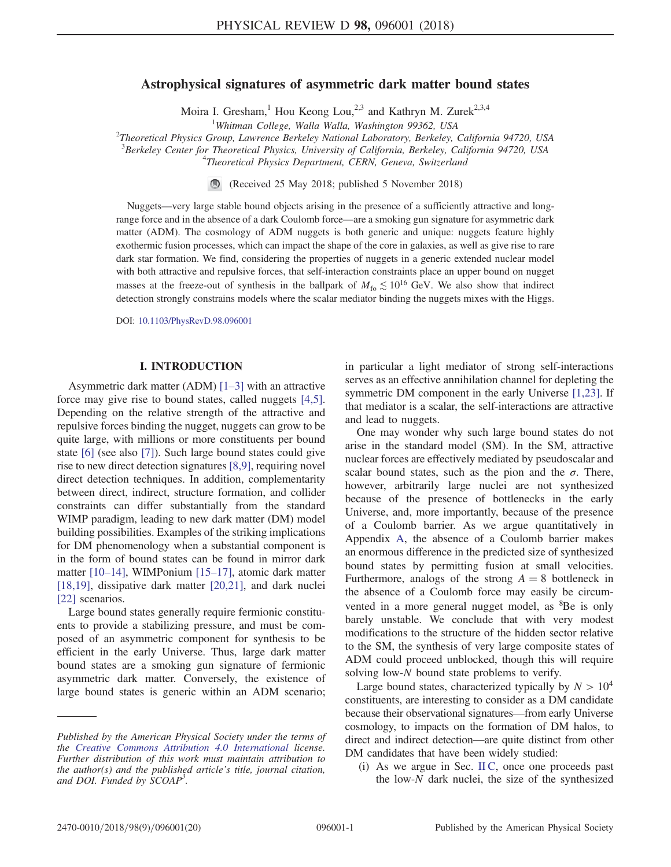# Astrophysical signatures of asymmetric dark matter bound states

Moira I. Gresham,<sup>1</sup> Hou Keong Lou,<sup>2,3</sup> and Kathryn M. Zurek<sup>2,3,4</sup>

<sup>1</sup>Whitman College, Walla Walla, Washington 99362, USA

Whitman College, Walla Walla, Washington 99362, USA<br><sup>2</sup>Theoretical Physics Group, Lawrence Berkeley National Laboratory, Berkeley, California 94720, USA

<sup>3</sup> Berkeley Center for Theoretical Physics, University of California, Berkeley, California 94720, USA  $4\pi$   $4\pi$  heoretical Physics, Department CEPN Congues Switzgrand

<sup>4</sup>Theoretical Physics Department, CERN, Geneva, Switzerland

(Received 25 May 2018; published 5 November 2018)

Nuggets—very large stable bound objects arising in the presence of a sufficiently attractive and longrange force and in the absence of a dark Coulomb force—are a smoking gun signature for asymmetric dark matter (ADM). The cosmology of ADM nuggets is both generic and unique: nuggets feature highly exothermic fusion processes, which can impact the shape of the core in galaxies, as well as give rise to rare dark star formation. We find, considering the properties of nuggets in a generic extended nuclear model with both attractive and repulsive forces, that self-interaction constraints place an upper bound on nugget masses at the freeze-out of synthesis in the ballpark of  $M_{\text{fo}} \lesssim 10^{16} \text{ GeV}$ . We also show that indirect detection strongly constrains models where the scalar mediator binding the nuggets mixes with the Higgs.

DOI: [10.1103/PhysRevD.98.096001](https://doi.org/10.1103/PhysRevD.98.096001)

## I. INTRODUCTION

Asymmetric dark matter (ADM) [\[1](#page-19-0)–3] with an attractive force may give rise to bound states, called nuggets [\[4,5\]](#page-19-1). Depending on the relative strength of the attractive and repulsive forces binding the nugget, nuggets can grow to be quite large, with millions or more constituents per bound state [\[6\]](#page-19-2) (see also [\[7\]\)](#page-19-3). Such large bound states could give rise to new direct detection signatures [\[8,9\],](#page-19-4) requiring novel direct detection techniques. In addition, complementarity between direct, indirect, structure formation, and collider constraints can differ substantially from the standard WIMP paradigm, leading to new dark matter (DM) model building possibilities. Examples of the striking implications for DM phenomenology when a substantial component is in the form of bound states can be found in mirror dark matter [10–[14\],](#page-19-5) WIMPonium [15–[17\],](#page-19-6) atomic dark matter [\[18,19\]](#page-19-7), dissipative dark matter [\[20,21\]](#page-19-8), and dark nuclei [\[22\]](#page-19-9) scenarios.

Large bound states generally require fermionic constituents to provide a stabilizing pressure, and must be composed of an asymmetric component for synthesis to be efficient in the early Universe. Thus, large dark matter bound states are a smoking gun signature of fermionic asymmetric dark matter. Conversely, the existence of large bound states is generic within an ADM scenario;

in particular a light mediator of strong self-interactions serves as an effective annihilation channel for depleting the symmetric DM component in the early Universe [\[1,23\]](#page-19-0). If that mediator is a scalar, the self-interactions are attractive and lead to nuggets.

One may wonder why such large bound states do not arise in the standard model (SM). In the SM, attractive nuclear forces are effectively mediated by pseudoscalar and scalar bound states, such as the pion and the  $\sigma$ . There, however, arbitrarily large nuclei are not synthesized because of the presence of bottlenecks in the early Universe, and, more importantly, because of the presence of a Coulomb barrier. As we argue quantitatively in Appendix [A,](#page-15-0) the absence of a Coulomb barrier makes an enormous difference in the predicted size of synthesized bound states by permitting fusion at small velocities. Furthermore, analogs of the strong  $A = 8$  bottleneck in the absence of a Coulomb force may easily be circumvented in a more general nugget model, as <sup>8</sup>Be is only barely unstable. We conclude that with very modest modifications to the structure of the hidden sector relative to the SM, the synthesis of very large composite states of ADM could proceed unblocked, though this will require solving low-N bound state problems to verify.

Large bound states, characterized typically by  $N > 10^4$ constituents, are interesting to consider as a DM candidate because their observational signatures—from early Universe cosmology, to impacts on the formation of DM halos, to direct and indirect detection—are quite distinct from other DM candidates that have been widely studied:

(i) As we argue in Sec.  $\Pi C$ , once one proceeds past the low-N dark nuclei, the size of the synthesized

Published by the American Physical Society under the terms of the [Creative Commons Attribution 4.0 International](https://creativecommons.org/licenses/by/4.0/) license. Further distribution of this work must maintain attribution to the author(s) and the published article's title, journal citation, and DOI. Funded by SCOAP<sup>3</sup>.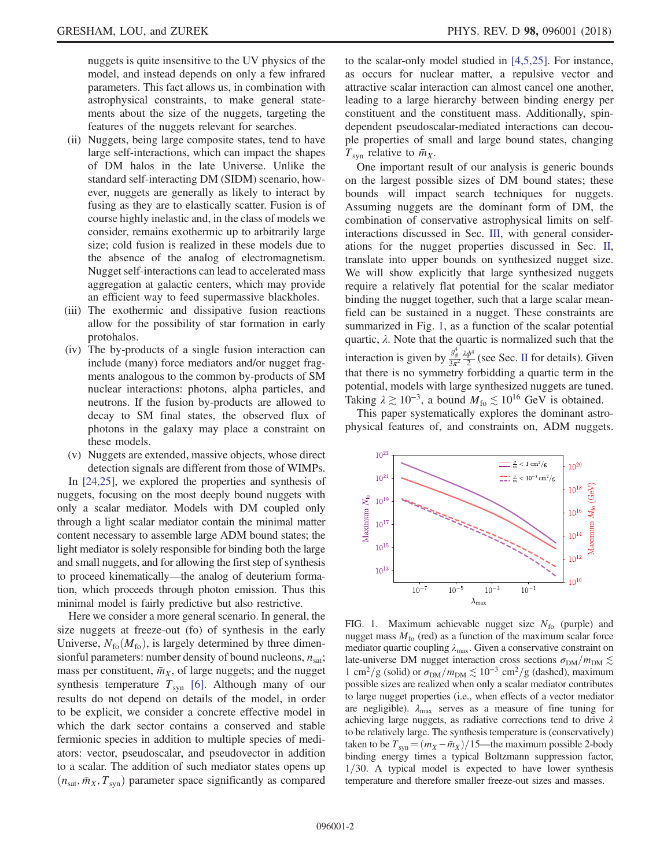nuggets is quite insensitive to the UV physics of the model, and instead depends on only a few infrared parameters. This fact allows us, in combination with astrophysical constraints, to make general statements about the size of the nuggets, targeting the features of the nuggets relevant for searches.

- (ii) Nuggets, being large composite states, tend to have large self-interactions, which can impact the shapes of DM halos in the late Universe. Unlike the standard self-interacting DM (SIDM) scenario, however, nuggets are generally as likely to interact by fusing as they are to elastically scatter. Fusion is of course highly inelastic and, in the class of models we consider, remains exothermic up to arbitrarily large size; cold fusion is realized in these models due to the absence of the analog of electromagnetism. Nugget self-interactions can lead to accelerated mass aggregation at galactic centers, which may provide an efficient way to feed supermassive blackholes.
- (iii) The exothermic and dissipative fusion reactions allow for the possibility of star formation in early protohalos.
- (iv) The by-products of a single fusion interaction can include (many) force mediators and/or nugget fragments analogous to the common by-products of SM nuclear interactions: photons, alpha particles, and neutrons. If the fusion by-products are allowed to decay to SM final states, the observed flux of photons in the galaxy may place a constraint on these models.
- (v) Nuggets are extended, massive objects, whose direct detection signals are different from those of WIMPs.

In [\[24,25\],](#page-19-10) we explored the properties and synthesis of nuggets, focusing on the most deeply bound nuggets with only a scalar mediator. Models with DM coupled only through a light scalar mediator contain the minimal matter content necessary to assemble large ADM bound states; the light mediator is solely responsible for binding both the large and small nuggets, and for allowing the first step of synthesis to proceed kinematically—the analog of deuterium formation, which proceeds through photon emission. Thus this minimal model is fairly predictive but also restrictive.

Here we consider a more general scenario. In general, the size nuggets at freeze-out (fo) of synthesis in the early Universe,  $N_{\text{fo}}(M_{\text{fo}})$ , is largely determined by three dimensionful parameters: number density of bound nucleons,  $n_{sat}$ ; mass per constituent,  $\bar{m}_X$ , of large nuggets; and the nugget synthesis temperature  $T_{syn}$  [\[6\]](#page-19-2). Although many of our results do not depend on details of the model, in order to be explicit, we consider a concrete effective model in which the dark sector contains a conserved and stable fermionic species in addition to multiple species of mediators: vector, pseudoscalar, and pseudovector in addition to a scalar. The addition of such mediator states opens up  $(n_{\text{sat}}, \bar{m}_X, T_{\text{syn}})$  parameter space significantly as compared to the scalar-only model studied in [\[4,5,25\].](#page-19-1) For instance, as occurs for nuclear matter, a repulsive vector and attractive scalar interaction can almost cancel one another, leading to a large hierarchy between binding energy per constituent and the constituent mass. Additionally, spindependent pseudoscalar-mediated interactions can decouple properties of small and large bound states, changing  $T_{syn}$  relative to  $\bar{m}_X$ .

One important result of our analysis is generic bounds on the largest possible sizes of DM bound states; these bounds will impact search techniques for nuggets. Assuming nuggets are the dominant form of DM, the combination of conservative astrophysical limits on selfinteractions discussed in Sec. [III,](#page-7-0) with general considerations for the nugget properties discussed in Sec. [II](#page-2-0), translate into upper bounds on synthesized nugget size. We will show explicitly that large synthesized nuggets require a relatively flat potential for the scalar mediator binding the nugget together, such that a large scalar meanfield can be sustained in a nugget. These constraints are summarized in Fig. [1](#page-1-0), as a function of the scalar potential quartic,  $\lambda$ . Note that the quartic is normalized such that the interaction is given by  $\frac{g_{\phi}^{4}}{3\pi^{2}}$  $\frac{\lambda \phi^4}{2}$  (see Sec. [II](#page-2-0) for details). Given that there is no symmetry forbidding a quartic term in the potential, models with large synthesized nuggets are tuned. Taking  $\lambda \gtrsim 10^{-3}$ , a bound  $M_{\rm fo} \lesssim 10^{16}$  GeV is obtained.

This paper systematically explores the dominant astrophysical features of, and constraints on, ADM nuggets.

<span id="page-1-0"></span>

FIG. 1. Maximum achievable nugget size  $N_{\text{fo}}$  (purple) and nugget mass  $M_{\text{fo}}$  (red) as a function of the maximum scalar force mediator quartic coupling  $\lambda_{\text{max}}$ . Given a conservative constraint on late-universe DM nugget interaction cross sections  $\sigma_{DM}/m_{DM} \lesssim$ 1 cm<sup>2</sup>/g (solid) or  $\sigma_{DM}/m_{DM} \lesssim 10^{-3}$  cm<sup>2</sup>/g (dashed), maximum possible sizes are realized when only a scalar mediator contributes to large nugget properties (i.e., when effects of a vector mediator are negligible).  $\lambda_{\text{max}}$  serves as a measure of fine tuning for achieving large nuggets, as radiative corrections tend to drive  $\lambda$ to be relatively large. The synthesis temperature is (conservatively) taken to be  $T_{syn} = (m_X - \bar{m}_X)/15$ —the maximum possible 2-body binding energy times a typical Boltzmann suppression factor,  $1/30$ . A typical model is expected to have lower synthesis temperature and therefore smaller freeze-out sizes and masses.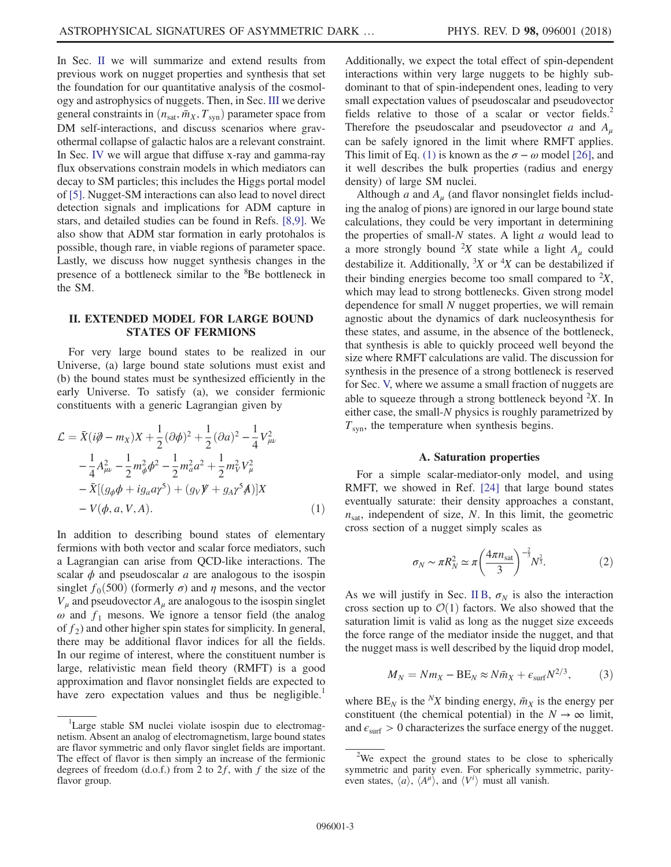In Sec. [II](#page-2-0) we will summarize and extend results from previous work on nugget properties and synthesis that set the foundation for our quantitative analysis of the cosmology and astrophysics of nuggets. Then, in Sec. [III](#page-7-0) we derive general constraints in  $(n_{sat}, \bar{m}_X, T_{syn})$  parameter space from DM self-interactions, and discuss scenarios where gravothermal collapse of galactic halos are a relevant constraint. In Sec. [IV](#page-10-0) we will argue that diffuse x-ray and gamma-ray flux observations constrain models in which mediators can decay to SM particles; this includes the Higgs portal model of [\[5\]](#page-19-11). Nugget-SM interactions can also lead to novel direct detection signals and implications for ADM capture in stars, and detailed studies can be found in Refs. [\[8,9\].](#page-19-4) We also show that ADM star formation in early protohalos is possible, though rare, in viable regions of parameter space. Lastly, we discuss how nugget synthesis changes in the presence of a bottleneck similar to the <sup>8</sup>Be bottleneck in the SM.

# <span id="page-2-0"></span>II. EXTENDED MODEL FOR LARGE BOUND STATES OF FERMIONS

For very large bound states to be realized in our Universe, (a) large bound state solutions must exist and (b) the bound states must be synthesized efficiently in the early Universe. To satisfy (a), we consider fermionic constituents with a generic Lagrangian given by

<span id="page-2-1"></span>
$$
\mathcal{L} = \bar{X}(i\partial - m_X)X + \frac{1}{2}(\partial\phi)^2 + \frac{1}{2}(\partial a)^2 - \frac{1}{4}V_{\mu\nu}^2 \n- \frac{1}{4}A_{\mu\nu}^2 - \frac{1}{2}m_{\phi}^2\phi^2 - \frac{1}{2}m_a^2a^2 + \frac{1}{2}m_V^2V_{\mu}^2 \n- \bar{X}[(g_{\phi}\phi + ig_aq_Y^5) + (g_V\mathcal{Y} + g_AY^5\mathcal{A})]X \n- V(\phi, a, V, A).
$$
\n(1)

In addition to describing bound states of elementary fermions with both vector and scalar force mediators, such a Lagrangian can arise from QCD-like interactions. The scalar  $\phi$  and pseudoscalar a are analogous to the isospin singlet  $f_0(500)$  (formerly  $\sigma$ ) and  $\eta$  mesons, and the vector  $V_{\mu}$  and pseudovector  $A_{\mu}$  are analogous to the isospin singlet  $\omega$  and  $f_1$  mesons. We ignore a tensor field (the analog of  $f_2$ ) and other higher spin states for simplicity. In general, there may be additional flavor indices for all the fields. In our regime of interest, where the constituent number is large, relativistic mean field theory (RMFT) is a good approximation and flavor nonsinglet fields are expected to have zero expectation values and thus be negligible.<sup>1</sup>

Additionally, we expect the total effect of spin-dependent interactions within very large nuggets to be highly subdominant to that of spin-independent ones, leading to very small expectation values of pseudoscalar and pseudovector fields relative to those of a scalar or vector fields.<sup>2</sup> Therefore the pseudoscalar and pseudovector a and  $A_u$ can be safely ignored in the limit where RMFT applies. This limit of Eq. [\(1\)](#page-2-1) is known as the  $\sigma - \omega$  model [\[26\],](#page-19-12) and it well describes the bulk properties (radius and energy density) of large SM nuclei.

Although  $a$  and  $A_u$  (and flavor nonsinglet fields including the analog of pions) are ignored in our large bound state calculations, they could be very important in determining the properties of small- $N$  states. A light  $a$  would lead to a more strongly bound <sup>2</sup>X state while a light  $A_\mu$  could destabilize it. Additionally,  ${}^{3}X$  or  ${}^{4}X$  can be destabilized if their binding energies become too small compared to  ${}^{2}X$ , which may lead to strong bottlenecks. Given strong model dependence for small N nugget properties, we will remain agnostic about the dynamics of dark nucleosynthesis for these states, and assume, in the absence of the bottleneck, that synthesis is able to quickly proceed well beyond the size where RMFT calculations are valid. The discussion for synthesis in the presence of a strong bottleneck is reserved for Sec. [V,](#page-13-0) where we assume a small fraction of nuggets are able to squeeze through a strong bottleneck beyond  $2X$ . In either case, the small-N physics is roughly parametrized by  $T<sub>syn</sub>$ , the temperature when synthesis begins.

## A. Saturation properties

For a simple scalar-mediator-only model, and using RMFT, we showed in Ref. [\[24\]](#page-19-10) that large bound states eventually saturate: their density approaches a constant,  $n<sub>sat</sub>$ , independent of size, N. In this limit, the geometric cross section of a nugget simply scales as

$$
\sigma_N \sim \pi R_N^2 \simeq \pi \left(\frac{4\pi n_{\rm sat}}{3}\right)^{-\frac{2}{3}} N^{\frac{2}{3}}.
$$
 (2)

As we will justify in Sec. [II B,](#page-4-0)  $\sigma_N$  is also the interaction cross section up to  $\mathcal{O}(1)$  factors. We also showed that the saturation limit is valid as long as the nugget size exceeds the force range of the mediator inside the nugget, and that the nugget mass is well described by the liquid drop model,

$$
M_N = Nm_X - BE_N \approx N\bar{m}_X + \epsilon_{\rm surf} N^{2/3},\tag{3}
$$

where  $BE_N$  is the <sup>N</sup>X binding energy,  $\bar{m}_X$  is the energy per constituent (the chemical potential) in the  $N \to \infty$  limit, and  $\epsilon_{\text{surf}} > 0$  characterizes the surface energy of the nugget.

<sup>&</sup>lt;sup>1</sup>Large stable SM nuclei violate isospin due to electromagnetism. Absent an analog of electromagnetism, large bound states are flavor symmetric and only flavor singlet fields are important. The effect of flavor is then simply an increase of the fermionic degrees of freedom (d.o.f.) from 2 to  $2f$ , with f the size of the flavor group.

 $2$ We expect the ground states to be close to spherically symmetric and parity even. For spherically symmetric, parityeven states,  $\langle a \rangle$ ,  $\langle A^{\mu} \rangle$ , and  $\langle V^i \rangle$  must all vanish.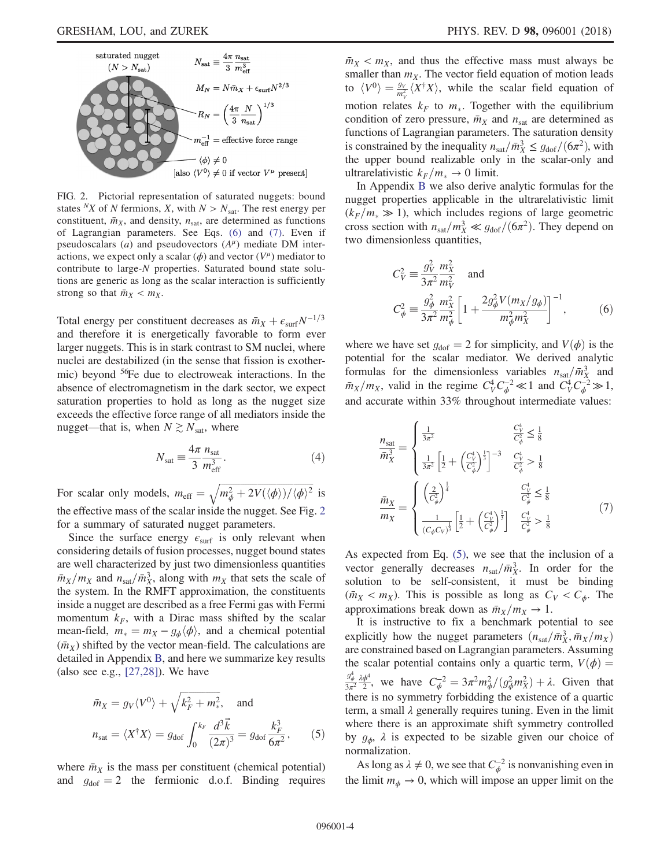<span id="page-3-0"></span>

FIG. 2. Pictorial representation of saturated nuggets: bound states <sup>N</sup>X of N fermions, X, with  $N > N<sub>sat</sub>$ . The rest energy per constituent,  $\bar{m}_X$ , and density,  $n_{\text{sat}}$ , are determined as functions of Lagrangian parameters. See Eqs. [\(6\)](#page-3-2) and [\(7\)](#page-3-3). Even if pseudoscalars (a) and pseudovectors  $(A^{\mu})$  mediate DM interactions, we expect only a scalar  $(\phi)$  and vector  $(V^{\mu})$  mediator to contribute to large-N properties. Saturated bound state solutions are generic as long as the scalar interaction is sufficiently strong so that  $\bar{m}_X < m_X$ .

Total energy per constituent decreases as  $\bar{m}_X + \epsilon_{\text{surf}}N^{-1/3}$ and therefore it is energetically favorable to form ever larger nuggets. This is in stark contrast to SM nuclei, where nuclei are destabilized (in the sense that fission is exothermic) beyond <sup>56</sup>Fe due to electroweak interactions. In the absence of electromagnetism in the dark sector, we expect saturation properties to hold as long as the nugget size exceeds the effective force range of all mediators inside the nugget—that is, when  $N \gtrsim N_{\text{sat}}$ , where

$$
N_{\rm sat} \equiv \frac{4\pi}{3} \frac{n_{\rm sat}}{m_{\rm eff}^3}.
$$
 (4)

For scalar only models,  $m_{\text{eff}} = \sqrt{m_{\phi}^2 + 2V(\langle \phi \rangle)/\langle \phi \rangle^2}$  is the effective mass of the scalar inside the nugget. See Fig. [2](#page-3-0) for a summary of saturated nugget parameters.

Since the surface energy  $\epsilon_{\text{surf}}$  is only relevant when considering details of fusion processes, nugget bound states are well characterized by just two dimensionless quantities  $\bar{m}_X/m_X$  and  $n_{\text{sat}}/\bar{m}_X^3$ , along with  $m_X$  that sets the scale of the system. In the RMFT approximation, the constituents inside a nugget are described as a free Fermi gas with Fermi momentum  $k_F$ , with a Dirac mass shifted by the scalar mean-field,  $m_* = m_X - g_{\phi} \langle \phi \rangle$ , and a chemical potential  $(\bar{m}_X)$  shifted by the vector mean-field. The calculations are detailed in Appendix [B](#page-16-0), and here we summarize key results (also see e.g.,  $[27,28]$ ). We have

<span id="page-3-1"></span>
$$
\bar{m}_X = g_V \langle V^0 \rangle + \sqrt{k_F^2 + m_*^2}, \text{ and}
$$

$$
n_{\text{sat}} = \langle X^\dagger X \rangle = g_{\text{dof}} \int_0^{k_F} \frac{d^3 \vec{k}}{(2\pi)^3} = g_{\text{dof}} \frac{k_F^3}{6\pi^2}, \qquad (5)
$$

where  $\bar{m}_X$  is the mass per constituent (chemical potential) and  $g_{\text{dof}} = 2$  the fermionic d.o.f. Binding requires  $m_X < m_X$ , and thus the effective mass must always be smaller than  $m<sub>X</sub>$ . The vector field equation of motion leads to  $\langle V^0 \rangle = \frac{g_V}{m_V^2} \langle X^\dagger X \rangle$ , while the scalar field equation of motion relates  $k_F$  to  $m_*$ . Together with the equilibrium condition of zero pressure,  $\bar{m}_X$  and  $n_{sat}$  are determined as functions of Lagrangian parameters. The saturation density is constrained by the inequality  $n_{\text{sat}}/\bar{m}_X^3 \leq g_{\text{dof}}/(\sigma \tau^2)$ , with the upper bound realizable only in the scalar-only and the upper bound realizable only in the scalar-only and ultrarelativistic  $k_F/m_* \rightarrow 0$  limit.

<span id="page-3-2"></span>In Appendix [B](#page-16-0) we also derive analytic formulas for the nugget properties applicable in the ultrarelativistic limit  $(k_F/m_* \gg 1)$ , which includes regions of large geometric cross section with  $n_{\text{sat}}/m_X^3 \ll g_{\text{dof}}/(6\pi^2)$ . They depend on two dimensionless quantities two dimensionless quantities,

$$
C_V^2 \equiv \frac{g_V^2}{3\pi^2} \frac{m_X^2}{m_V^2} \quad \text{and}
$$
  

$$
C_\phi^2 \equiv \frac{g_\phi^2}{3\pi^2} \frac{m_X^2}{m_\phi^2} \left[ 1 + \frac{2g_\phi^2 V(m_X/g_\phi)}{m_\phi^2 m_X^2} \right]^{-1}, \tag{6}
$$

where we have set  $g_{\text{dof}} = 2$  for simplicity, and  $V(\phi)$  is the potential for the scalar mediator. We derived analytic formulas for the dimensionless variables  $n_{\text{sat}}/\bar{m}_{X}^{3}$  and  $\bar{m}_X/m_X$ , valid in the regime  $C_V^4 C_\phi^{-2} \ll 1$  and  $C_V^4 C_\phi^{-2} \gg 1$ , and accurate within 33% throughout intermediate values:

<span id="page-3-3"></span>
$$
\frac{n_{\text{sat}}}{\tilde{m}_{X}^{3}} = \begin{cases}\n\frac{1}{3\pi^{2}} & \frac{C_{\psi}^{4}}{C_{\phi}^{2}} \leq \frac{1}{8} \\
\frac{1}{3\pi^{2}} \left[ \frac{1}{2} + \left( \frac{C_{\psi}^{4}}{C_{\phi}^{4}} \right)^{\frac{1}{3}} \right]^{-3} & \frac{C_{\psi}^{4}}{C_{\phi}^{2}} > \frac{1}{8} \\
\frac{\tilde{m}_{X}}{m_{X}} = \begin{cases}\n\left( \frac{2}{C_{\phi}^{2}} \right)^{\frac{1}{4}} & \frac{C_{\psi}^{4}}{C_{\phi}^{2}} \leq \frac{1}{8} \\
\frac{1}{(C_{\phi}C_{V})^{\frac{1}{3}}} \left[ \frac{1}{2} + \left( \frac{C_{\psi}^{4}}{C_{\phi}^{2}} \right)^{\frac{1}{3}} \right] & \frac{C_{\psi}^{4}}{C_{\phi}^{2}} > \frac{1}{8}\n\end{cases} (7)\n\end{cases}
$$

As expected from Eq. [\(5\)](#page-3-1), we see that the inclusion of a vector generally decreases  $n_{\text{sat}}/\bar{m}_{X}^{3}$ . In order for the solution to be self-consistent, it must be binding  $(\bar{m}_X < m_X)$ . This is possible as long as  $C_V < C_\phi$ . The approximations break down as  $\bar{m}_X/m_X \to 1$ .

It is instructive to fix a benchmark potential to see explicitly how the nugget parameters  $(n_{sat}/\bar{m}_X^3, \bar{m}_X/m_X)$ are constrained based on Lagrangian parameters. Assuming the scalar potential contains only a quartic term,  $V(\phi) =$  $\frac{g^4_{\phi}}{3\pi^2}$  $\frac{\lambda \phi^4}{2}$ , we have  $C_{\phi}^{-2} = 3\pi^2 m_{\phi}^2/(g_{\phi}^2 m_X^2) + \lambda$ . Given that there is no symmetry forbidding the existence of a quartic term, a small  $\lambda$  generally requires tuning. Even in the limit where there is an approximate shift symmetry controlled by  $g_{\phi}$ ,  $\lambda$  is expected to be sizable given our choice of normalization.

As long as  $\lambda \neq 0$ , we see that  $C_{\phi}^{-2}$  is nonvanishing even in the limit  $m_{\phi} \rightarrow 0$ , which will impose an upper limit on the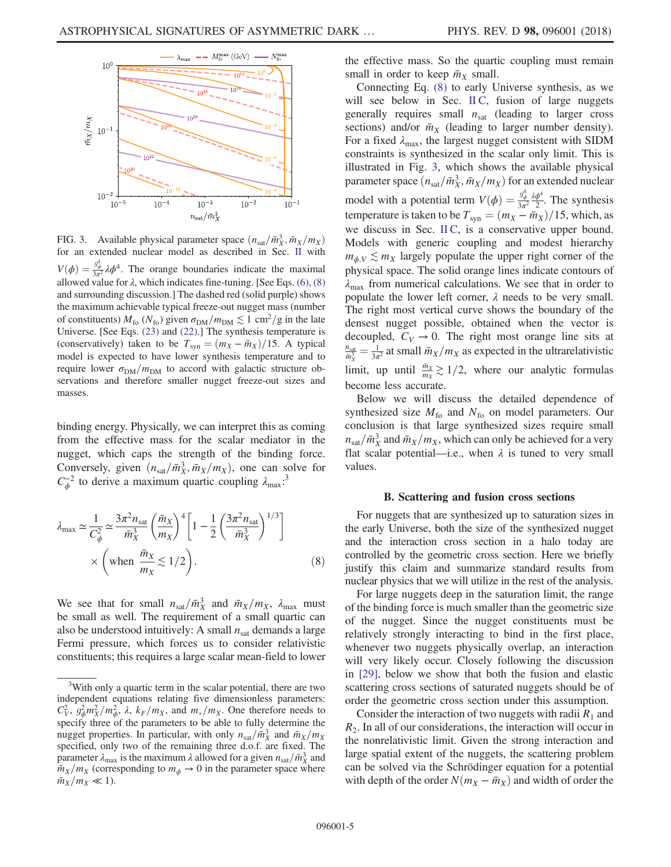<span id="page-4-2"></span>

FIG. 3. Available physical parameter space  $(n_{sat}/\bar{m}_X^3, \bar{m}_X/m_X)$ <br>for an extended nuclear model as described in Sec. II with for an extended nuclear model as described in Sec. [II](#page-2-0) with  $V(\phi) = \frac{g_{\phi}^4}{3\pi^2} \lambda \phi^4$ . The orange boundaries indicate the maximal pllowed value for  $\lambda$  which indicates fine tuning [See Eqs. (6), (8) allowed value for  $\lambda$ , which indicates fine-tuning. [See Eqs. [\(6\),](#page-3-2) [\(8\)](#page-4-1) and surrounding discussion.] The dashed red (solid purple) shows the maximum achievable typical freeze-out nugget mass (number of constituents)  $M_{\text{fo}}$  ( $N_{\text{fo}}$ ) given  $\sigma_{\text{DM}}/m_{\text{DM}} \lesssim 1 \text{ cm}^2/\text{g}$  in the late Universe. [See Eqs. [\(23\)](#page-8-0) and [\(22\)](#page-8-1).] The synthesis temperature is (conservatively) taken to be  $T_{syn} = (m_X - \bar{m}_X)/15$ . A typical model is expected to have lower synthesis temperature and to require lower  $\sigma_{DM}/m_{DM}$  to accord with galactic structure observations and therefore smaller nugget freeze-out sizes and masses.

binding energy. Physically, we can interpret this as coming from the effective mass for the scalar mediator in the nugget, which caps the strength of the binding force. Conversely, given  $(n_{\text{sat}}/\bar{m}_X^3, \bar{m}_X/m_X)$ , one can solve for  $C^{-2}$  to derive a maximum quartic coupling  $\lambda$  $C_{\phi}^{-2}$  to derive a maximum quartic coupling  $\lambda_{\text{max}}$ .<sup>3</sup>

<span id="page-4-1"></span>
$$
\lambda_{\max} \simeq \frac{1}{C_{\phi}^2} \simeq \frac{3\pi^2 n_{\text{sat}}}{\bar{m}_X^3} \left(\frac{\bar{m}_X}{m_X}\right)^4 \left[1 - \frac{1}{2} \left(\frac{3\pi^2 n_{\text{sat}}}{\bar{m}_X^3}\right)^{1/3}\right] \times \left(\text{when } \frac{\bar{m}_X}{m_X} \lesssim 1/2\right). \tag{8}
$$

We see that for small  $n_{\text{sat}}/\bar{m}_X^3$  and  $\bar{m}_X/m_X$ ,  $\lambda_{\text{max}}$  must be small as well. The requirement of a small quartic can also be understood intuitively: A small  $n_{sat}$  demands a large Fermi pressure, which forces us to consider relativistic constituents; this requires a large scalar mean-field to lower the effective mass. So the quartic coupling must remain small in order to keep  $\bar{m}_X$  small.

Connecting Eq. [\(8\)](#page-4-1) to early Universe synthesis, as we will see below in Sec. [II C,](#page-5-0) fusion of large nuggets generally requires small  $n_{sat}$  (leading to larger cross sections) and/or  $\bar{m}_X$  (leading to larger number density). For a fixed  $\lambda_{\text{max}}$ , the largest nugget consistent with SIDM constraints is synthesized in the scalar only limit. This is illustrated in Fig. [3,](#page-4-2) which shows the available physical parameter space  $(n_{\text{sat}}/\bar{m}_X^3, \bar{m}_X/m_X)$  for an extended nuclear model with a potential term  $V(\phi) = \frac{g_{\phi}^4}{3\pi^2}$  $\frac{\lambda \phi^4}{2}$ . The synthesis temperature is taken to be  $T_{syn} = (m_X - \bar{m}_X)/15$ , which, as we discuss in Sec. [II C,](#page-5-0) is a conservative upper bound. Models with generic coupling and modest hierarchy  $m_{\phi,V} \lesssim m_X$  largely populate the upper right corner of the physical space. The solid orange lines indicate contours of  $\lambda_{\text{max}}$  from numerical calculations. We see that in order to populate the lower left corner,  $\lambda$  needs to be very small. The right most vertical curve shows the boundary of the densest nugget possible, obtained when the vector is decoupled,  $C_V \rightarrow 0$ . The right most orange line sits at  $\frac{m_{\text{sat}}}{m_X^3} = \frac{1}{3\pi^2}$  at small  $\bar{m}_X/m_X$  as expected in the ultrarelativistic limit, up until  $\frac{\bar{m}_X}{m_X} \gtrsim 1/2$ , where our analytic formulas become less accurate.

Below we will discuss the detailed dependence of synthesized size  $M_{\text{fo}}$  and  $N_{\text{fo}}$  on model parameters. Our conclusion is that large synthesized sizes require small  $n_{\text{sat}}/\bar{m}_X^3$  and  $\bar{m}_X/m_X$ , which can only be achieved for a very flat scalar potential—i.e., when  $\lambda$  is tuned to very small values.

#### B. Scattering and fusion cross sections

<span id="page-4-0"></span>For nuggets that are synthesized up to saturation sizes in the early Universe, both the size of the synthesized nugget and the interaction cross section in a halo today are controlled by the geometric cross section. Here we briefly justify this claim and summarize standard results from nuclear physics that we will utilize in the rest of the analysis.

For large nuggets deep in the saturation limit, the range of the binding force is much smaller than the geometric size of the nugget. Since the nugget constituents must be relatively strongly interacting to bind in the first place, whenever two nuggets physically overlap, an interaction will very likely occur. Closely following the discussion in [\[29\],](#page-19-14) below we show that both the fusion and elastic scattering cross sections of saturated nuggets should be of order the geometric cross section under this assumption.

Consider the interaction of two nuggets with radii  $R_1$  and  $R<sub>2</sub>$ . In all of our considerations, the interaction will occur in the nonrelativistic limit. Given the strong interaction and large spatial extent of the nuggets, the scattering problem can be solved via the Schrödinger equation for a potential with depth of the order  $N(m_X - \bar{m}_X)$  and width of order the

<sup>&</sup>lt;sup>3</sup>With only a quartic term in the scalar potential, there are two independent equations relating five dimensionless parameters:  $C_V^2$ ,  $g_\phi^2 m_X^2 / m_\phi^2$ ,  $\lambda$ ,  $k_F/m_X$ , and  $m_*/m_X$ . One therefore needs to examine the property to be oble to fully determine the specify three of the parameters to be able to fully determine the nugget properties. In particular, with only  $n_{\text{sat}}/\bar{m}_X^3$  and  $\bar{m}_X/m_X$ specified, only two of the remaining three d.o.f. are fixed. The parameter  $\lambda_{\text{max}}$  is the maximum  $\lambda$  allowed for a given  $n_{\text{sat}}/\bar{m}_X^3$  and  $\bar{m}_X/m_X$  (corresponding to  $m_\phi \to 0$  in the parameter space where  $\bar{m}_X/m_X \ll 1$ ).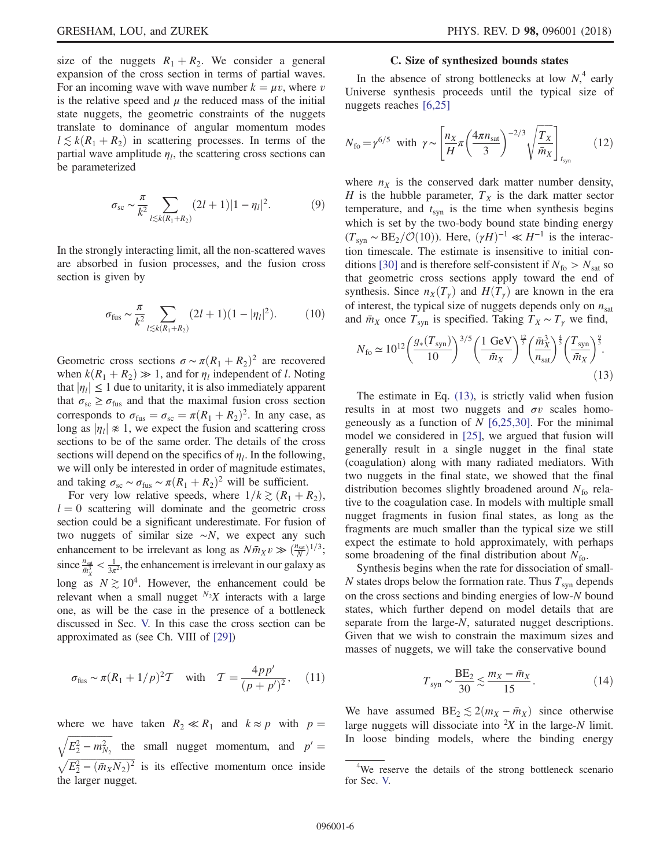size of the nuggets  $R_1 + R_2$ . We consider a general expansion of the cross section in terms of partial waves. For an incoming wave with wave number  $k = \mu v$ , where v is the relative speed and  $\mu$  the reduced mass of the initial state nuggets, the geometric constraints of the nuggets translate to dominance of angular momentum modes  $l \lesssim k(R_1 + R_2)$  in scattering processes. In terms of the partial wave amplitude  $\eta_l$ , the scattering cross sections can be parameterized

$$
\sigma_{sc} \sim \frac{\pi}{k^2} \sum_{l \le k(R_1 + R_2)} (2l+1)|1 - \eta_l|^2. \tag{9}
$$

In the strongly interacting limit, all the non-scattered waves are absorbed in fusion processes, and the fusion cross section is given by

$$
\sigma_{\text{fus}} \sim \frac{\pi}{k^2} \sum_{l \le k(R_1 + R_2)} (2l+1)(1 - |\eta_l|^2). \tag{10}
$$

Geometric cross sections  $\sigma \sim \pi (R_1 + R_2)^2$  are recovered when  $k(R_1 + R_2) \gg 1$ , and for  $\eta_l$  independent of l. Noting that  $|\eta_l| \leq 1$  due to unitarity, it is also immediately apparent that  $\sigma_{\rm sc} \geq \sigma_{\rm fus}$  and that the maximal fusion cross section corresponds to  $\sigma_{\text{fus}} = \sigma_{\text{sc}} = \pi (R_1 + R_2)^2$ . In any case, as long as  $|\eta_l| \approx 1$ , we expect the fusion and scattering cross sections to be of the same order. The details of the cross sections will depend on the specifics of  $\eta_l$ . In the following, we will only be interested in order of magnitude estimates, and taking  $\sigma_{\rm sc} \sim \sigma_{\rm fus} \sim \pi (R_1 + R_2)^2$  will be sufficient.

For very low relative speeds, where  $1/k \gtrsim (R_1 + R_2)$ ,  $l = 0$  scattering will dominate and the geometric cross section could be a significant underestimate. For fusion of two nuggets of similar size  $~\sim N$ , we expect any such enhancement to be irrelevant as long as  $N\bar{m}_X v \gg (\frac{n_{\text{sat}}}{N})^{1/3};$ since  $\frac{n_{\text{sat}}}{m_v^3} < \frac{1}{3\pi^2}$ , the enhancement is irrelevant in our galaxy as long as  $N \gtrsim 10^4$ . However, the enhancement could be relevant when a small nugget  $N_2X$  interacts with a large one, as will be the case in the presence of a bottleneck discussed in Sec. [V.](#page-13-0) In this case the cross section can be approximated as (see Ch. VIII of [\[29\]\)](#page-19-14)

<span id="page-5-4"></span>
$$
\sigma_{\text{fus}} \sim \pi (R_1 + 1/p)^2 \mathcal{T} \quad \text{with} \quad \mathcal{T} = \frac{4pp'}{(p+p')^2}, \quad (11)
$$

where we have taken  $R_2 \ll R_1$  and  $k \approx p$  with  $p =$  $\sqrt{E_2^2 - m_{N_2}^2}$  $\sqrt{E_2^2 - m_{N_2}^2}$  the small nugget momentum, and  $p' = \sqrt{E_2^2 - (\bar{m}_X N_2)^2}$  is its effective momentum once inside the larger nugget the larger nugget.

#### C. Size of synthesized bounds states

<span id="page-5-3"></span><span id="page-5-0"></span>In the absence of strong bottlenecks at low  $N<sub>1</sub><sup>4</sup>$  early Universe synthesis proceeds until the typical size of nuggets reaches [\[6,25\]](#page-19-2)

$$
N_{\text{fo}} = \gamma^{6/5} \text{ with } \gamma \sim \left[\frac{n_X}{H} \pi \left(\frac{4\pi n_{\text{sat}}}{3}\right)^{-2/3} \sqrt{\frac{T_X}{\bar{m}_X}}\right]_{t_{\text{syn}}} \qquad (12)
$$

where  $n<sub>X</sub>$  is the conserved dark matter number density, H is the hubble parameter,  $T_X$  is the dark matter sector temperature, and  $t_{syn}$  is the time when synthesis begins which is set by the two-body bound state binding energy  $(T_{syn} \sim BE_2/\mathcal{O}(10))$ . Here,  $(\gamma H)^{-1} \ll H^{-1}$  is the interaction timescale. The estimate is insensitive to initial con-ditions [\[30\]](#page-19-15) and is therefore self-consistent if  $N_{\text{fo}} > N_{\text{sat}}$  so that geometric cross sections apply toward the end of synthesis. Since  $n_X(T_\gamma)$  and  $H(T_\gamma)$  are known in the era of interest, the typical size of nuggets depends only on  $n_{sat}$ and  $\bar{m}_X$  once  $T_{syn}$  is specified. Taking  $T_X \sim T_\gamma$  we find,

<span id="page-5-1"></span>
$$
N_{\rm fo} \simeq 10^{12} \left(\frac{g_*(T_{\rm syn})}{10}\right)^{3/5} \left(\frac{1 \text{ GeV}}{\bar{m}_X}\right)^{\frac{12}{5}} \left(\frac{\bar{m}_X^3}{n_{\rm sat}}\right)^{\frac{4}{5}} \left(\frac{T_{\rm syn}}{\bar{m}_X}\right)^{\frac{9}{5}}.
$$
\n(13)

The estimate in Eq. [\(13\)](#page-5-1), is strictly valid when fusion results in at most two nuggets and  $\sigma v$  scales homogeneously as a function of  $N$  [\[6,25,30\].](#page-19-2) For the minimal model we considered in [\[25\]](#page-19-16), we argued that fusion will generally result in a single nugget in the final state (coagulation) along with many radiated mediators. With two nuggets in the final state, we showed that the final distribution becomes slightly broadened around  $N_{\text{fo}}$  relative to the coagulation case. In models with multiple small nugget fragments in fusion final states, as long as the fragments are much smaller than the typical size we still expect the estimate to hold approximately, with perhaps some broadening of the final distribution about  $N_{\text{fo}}$ .

<span id="page-5-2"></span>Synthesis begins when the rate for dissociation of small-N states drops below the formation rate. Thus  $T_{syn}$  depends on the cross sections and binding energies of low-N bound states, which further depend on model details that are separate from the large-N, saturated nugget descriptions. Given that we wish to constrain the maximum sizes and masses of nuggets, we will take the conservative bound

$$
T_{\rm syn} \sim \frac{\rm BE_2}{30} \lesssim \frac{m_X - \bar{m}_X}{15}.
$$
 (14)

We have assumed  $BE_2 \lesssim 2(m_X - \bar{m}_X)$  since otherwise large nuggets will dissociate into  ${}^{2}X$  in the large-N limit. In loose binding models, where the binding energy

<sup>&</sup>lt;sup>4</sup>We reserve the details of the strong bottleneck scenario for Sec. [V.](#page-13-0)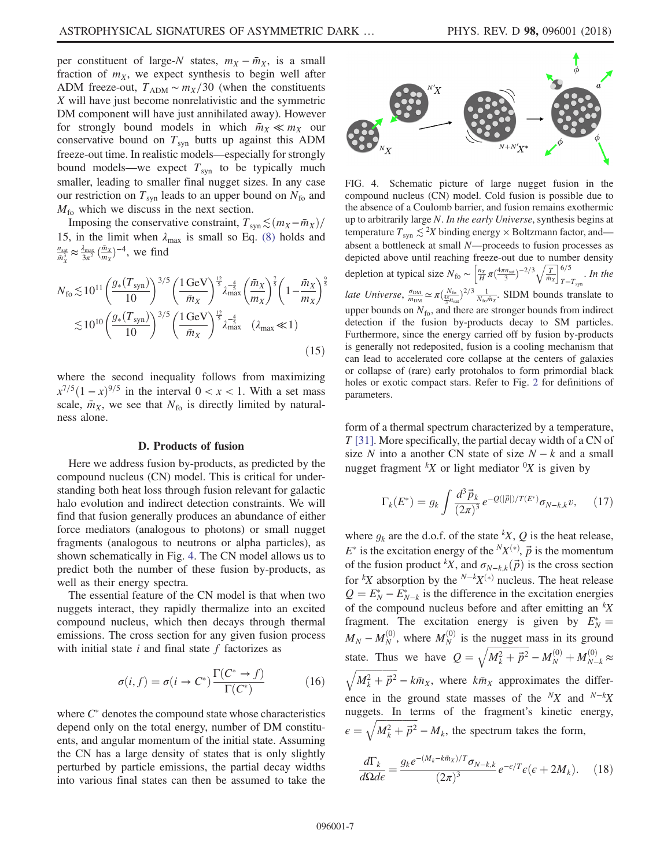per constituent of large-N states,  $m_X - \bar{m}_X$ , is a small fraction of  $m<sub>X</sub>$ , we expect synthesis to begin well after ADM freeze-out,  $T_{\text{ADM}} \sim m_X/30$  (when the constituents X will have just become nonrelativistic and the symmetric DM component will have just annihilated away). However for strongly bound models in which  $\bar{m}_X \ll m_X$  our conservative bound on  $T_{syn}$  butts up against this ADM freeze-out time. In realistic models—especially for strongly bound models—we expect  $T_{syn}$  to be typically much smaller, leading to smaller final nugget sizes. In any case our restriction on  $T_{syn}$  leads to an upper bound on  $N_{fo}$  and  $M_{\text{fo}}$  which we discuss in the next section.

Imposing the conservative constraint,  $T_{syn} \lesssim (m_X - \bar{m}_X)/\sqrt{m_X}$ 15, in the limit when  $\lambda_{\text{max}}$  is small so Eq. [\(8\)](#page-4-1) holds and  $\frac{n_{\rm sat}}{\bar{m}_X^3} \approx \frac{\lambda_{\rm max}}{3\pi^2} \left(\frac{\bar{m}_X}{m_X}\right)$  $\frac{\bar{m}_X}{m_X}$ )<sup>-4</sup>, we find

$$
N_{\text{fo}} \lesssim 10^{11} \left(\frac{g_*(T_{\text{syn}})}{10}\right)^{3/5} \left(\frac{1 \text{ GeV}}{\bar{m}_X}\right)^{\frac{12}{5}} \lambda_{\text{max}}^{-\frac{4}{5}} \left(\frac{\bar{m}_X}{m_X}\right)^{\frac{7}{5}} \left(1 - \frac{\bar{m}_X}{m_X}\right)^{\frac{9}{5}}
$$
  

$$
\lesssim 10^{10} \left(\frac{g_*(T_{\text{syn}})}{10}\right)^{3/5} \left(\frac{1 \text{ GeV}}{\bar{m}_X}\right)^{\frac{12}{5}} \lambda_{\text{max}}^{-\frac{4}{5}} \quad (\lambda_{\text{max}} \ll 1)
$$
  
(15)

where the second inequality follows from maximizing  $x^{7/5}(1-x)^{9/5}$  in the interval  $0 < x < 1$ . With a set mass scale,  $\bar{m}_x$ , we see that  $N_{\text{fo}}$  is directly limited by naturalness alone.

#### D. Products of fusion

<span id="page-6-2"></span>Here we address fusion by-products, as predicted by the compound nucleus (CN) model. This is critical for understanding both heat loss through fusion relevant for galactic halo evolution and indirect detection constraints. We will find that fusion generally produces an abundance of either force mediators (analogous to photons) or small nugget fragments (analogous to neutrons or alpha particles), as shown schematically in Fig. [4.](#page-6-0) The CN model allows us to predict both the number of these fusion by-products, as well as their energy spectra.

The essential feature of the CN model is that when two nuggets interact, they rapidly thermalize into an excited compound nucleus, which then decays through thermal emissions. The cross section for any given fusion process with initial state  $i$  and final state  $f$  factorizes as

$$
\sigma(i, f) = \sigma(i \to C^*) \frac{\Gamma(C^* \to f)}{\Gamma(C^*)}
$$
 (16)

where  $C^*$  denotes the compound state whose characteristics depend only on the total energy, number of DM constituents, and angular momentum of the initial state. Assuming the CN has a large density of states that is only slightly perturbed by particle emissions, the partial decay widths into various final states can then be assumed to take the

<span id="page-6-0"></span>

FIG. 4. Schematic picture of large nugget fusion in the compound nucleus (CN) model. Cold fusion is possible due to the absence of a Coulomb barrier, and fusion remains exothermic up to arbitrarily large N. In the early Universe, synthesis begins at temperature  $T_{syn} \lesssim {}^{2}X$  binding energy  $\times$  Boltzmann factor, and absent a bottleneck at small N—proceeds to fusion processes as depicted above until reaching freeze-out due to number density depletion at typical size  $N_{\text{fo}} \sim \left[\frac{n_X}{H} \pi \left(\frac{4\pi n_{\text{sat}}}{3}\right)\right]$  $\frac{-2}{3} \sqrt{\frac{T}{m_X}} \bigg|_{T}^{6/5}$  $T=T_{syn}$ . In the late Universe,  $\frac{\sigma_{\text{DM}}}{m_{\text{DM}}} \simeq \pi \left( \frac{N_{\text{fo}}}{\frac{4\pi}{3} n_{\text{sat}}} \right)$  $\frac{2}{3} \frac{1}{N_{\text{fo}} \bar{m}_X}$ . SIDM bounds translate to upper bounds on  $N_{\text{fo}}$ , and there are stronger bounds from indirect detection if the fusion by-products decay to SM particles. Furthermore, since the energy carried off by fusion by-products is generally not redeposited, fusion is a cooling mechanism that can lead to accelerated core collapse at the centers of galaxies or collapse of (rare) early protohalos to form primordial black holes or exotic compact stars. Refer to Fig. [2](#page-3-0) for definitions of parameters.

form of a thermal spectrum characterized by a temperature, T [\[31\]](#page-19-17). More specifically, the partial decay width of a CN of size N into a another CN state of size  $N - k$  and a small nugget fragment  ${}^k\!X$  or light mediator  ${}^0\!X$  is given by

$$
\Gamma_k(E^*) = g_k \int \frac{d^3 \vec{p}_k}{(2\pi)^3} e^{-Q(|\vec{p}|)/T(E^*)} \sigma_{N-k,k} v, \qquad (17)
$$

where  $g_k$  are the d.o.f. of the state <sup> $k$ </sup>X,  $Q$  is the heat release,  $E^*$  is the excitation energy of the  ${}^N X^{(*)}$ ,  $\vec{p}$  is the momentum of the fusion product <sup>k</sup>X, and  $\sigma_{N-k,k}(\vec{p})$  is the cross section<br>for <sup>k</sup>V ebservation by the <sup>N-k</sup>V<sup>(\*)</sup> puolous. The best release for <sup>k</sup>X absorption by the <sup>N-k</sup>X<sup>(\*)</sup> nucleus. The heat release  $Q = E_N^* - E_{N-k}^*$  is the difference in the excitation energies<br>of the compound puckus before and after emitting an <sup>k</sup>Y of the compound nucleus before and after emitting an  ${}^kX$ fragment. The excitation energy is given by  $E_N^* =$ magnetic. The excitation energy is given by  $E_N = M_N - M_N^{(0)}$ , where  $M_N^{(0)}$  is the nugget mass in its ground state. Thus we have  $Q = \sqrt{M_k^2 + \vec{p}^2} - M_N^{(0)} + M_{N-k}^{(0)} \approx$  $\sqrt{M_k^2 + \vec{p}^2} - k\bar{m}_X$ , where  $k\bar{m}_X$  approximates the difference in the ground state masses of the  ${}^N X$  and  ${}^{N-k} X$ nuggets. In terms of the fragment's kinetic energy,  $\epsilon = \sqrt{M_k^2 + \vec{p}^2} - M_k$ , the spectrum takes the form,

<span id="page-6-1"></span>
$$
\frac{d\Gamma_k}{d\Omega d\varepsilon} = \frac{g_k e^{-(M_k - k\bar{m}_X)/T} \sigma_{N-k,k}}{(2\pi)^3} e^{-\epsilon/T} \varepsilon (\varepsilon + 2M_k). \tag{18}
$$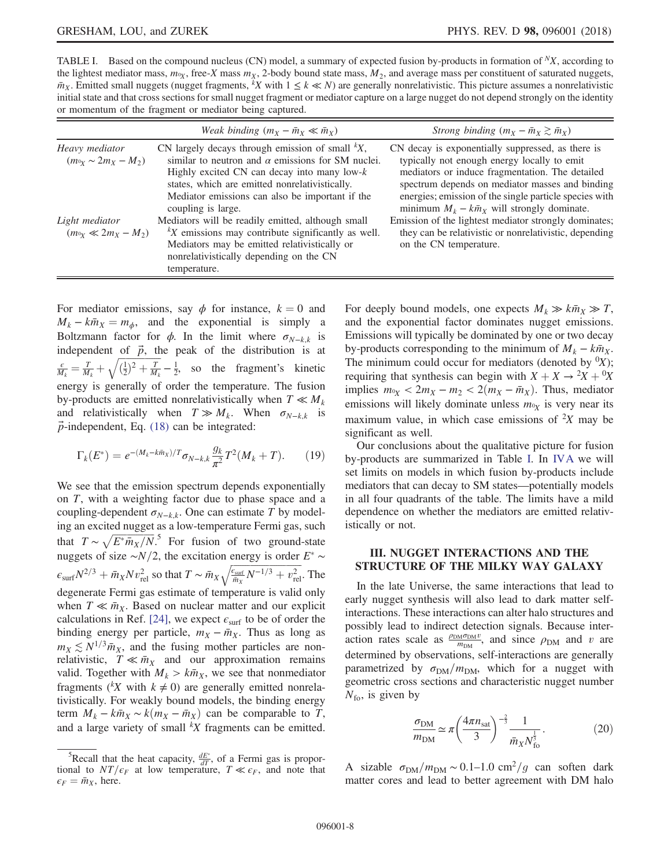<span id="page-7-1"></span>TABLE I. Based on the compound nucleus (CN) model, a summary of expected fusion by-products in formation of  $N_X$ , according to the lightest mediator mass,  $m_{\text{X}}$ , free-X mass  $m_{\text{X}}$ , 2-body bound state mass,  $M_2$ , and average mass per constituent of saturated nuggets,  $\bar{m}_X$ . Emitted small nuggets (nugget fragments, <sup>k</sup>X with  $1 \le k \ll N$ ) are generally nonrelativistic. This picture assumes a nonrelativistic initial state and that cross sections for small nugget fragment or mediator capture on a large nugget do not depend strongly on the identity or momentum of the fragment or mediator being captured.

|                                              | Weak binding $(m_x - \bar{m}_x \ll \bar{m}_x)$                                                                                                                                                                                                                                                 | Strong binding $(m_x - \bar{m}_x \ge \bar{m}_x)$                                                                                                                                                                                                                                                                       |
|----------------------------------------------|------------------------------------------------------------------------------------------------------------------------------------------------------------------------------------------------------------------------------------------------------------------------------------------------|------------------------------------------------------------------------------------------------------------------------------------------------------------------------------------------------------------------------------------------------------------------------------------------------------------------------|
| Heavy mediator<br>$(m_{9X} \sim 2m_X - M_2)$ | CN largely decays through emission of small ${}^kX$ ,<br>similar to neutron and $\alpha$ emissions for SM nuclei.<br>Highly excited CN can decay into many low- $k$<br>states, which are emitted nonrelativistically.<br>Mediator emissions can also be important if the<br>coupling is large. | CN decay is exponentially suppressed, as there is<br>typically not enough energy locally to emit<br>mediators or induce fragmentation. The detailed<br>spectrum depends on mediator masses and binding<br>energies; emission of the single particle species with<br>minimum $M_k - k\bar{m}_x$ will strongly dominate. |
| Light mediator<br>$(m_{0Y} \ll 2m_Y - M_2)$  | Mediators will be readily emitted, although small<br>$kX$ emissions may contribute significantly as well.<br>Mediators may be emitted relativistically or<br>nonrelativistically depending on the CN<br>temperature.                                                                           | Emission of the lightest mediator strongly dominates;<br>they can be relativistic or nonrelativistic, depending<br>on the CN temperature.                                                                                                                                                                              |

For mediator emissions, say  $\phi$  for instance,  $k = 0$  and  $M_k - k\bar{m}_X = m_\phi$ , and the exponential is simply a Boltzmann factor for  $\phi$ . In the limit where  $\sigma_{N-k,k}$  is independent of  $\vec{p}$ , the peak of the distribution is at  $\frac{\epsilon}{M_k} = \frac{T}{M_k} +$  $\sqrt{\left(\frac{1}{2}\right)^2 + \frac{T}{M_k}} - \frac{1}{2}$ , so the fragment's kinetic energy is generally of order the temperature. The fusion by-products are emitted nonrelativistically when  $T \ll M_k$ and relativistically when  $T \gg M_k$ . When  $\sigma_{N-k,k}$  is  $\vec{p}$ -independent, Eq. [\(18\)](#page-6-1) can be integrated:

$$
\Gamma_k(E^*) = e^{-(M_k - k\bar{m}_X)/T} \sigma_{N-k,k} \frac{g_k}{\pi^2} T^2 (M_k + T). \tag{19}
$$

We see that the emission spectrum depends exponentially on T, with a weighting factor due to phase space and a coupling-dependent  $\sigma_{N-k,k}$ . One can estimate T by modeling an excited nugget as a low-temperature Fermi gas, such that  $T \sim \sqrt{E^* \bar{m}_X/N}$ <sup>5</sup> For fusion of two ground-state nuggets of size ∼N/2, the excitation energy is order  $E^*$  ~  $\epsilon_{\text{surf}}N^{2/3} + \bar{m}_X N v_{\text{rel}}^2$  so that  $T \sim \bar{m}_X \sqrt{\frac{\epsilon_{\text{surf}}}{\bar{m}_X} N^{-1/3} + v_{\text{rel}}^2}$ . The degenerate Fermi gas estimate of temperature is valid only when  $T \ll \bar{m}_x$ . Based on nuclear matter and our explicit calculations in Ref. [\[24\]](#page-19-10), we expect  $\epsilon_{\text{surf}}$  to be of order the binding energy per particle,  $m_X - \bar{m}_X$ . Thus as long as  $m_X \lesssim N^{1/3} \bar{m}_X$ , and the fusing mother particles are nonrelativistic,  $T \ll \bar{m}_X$  and our approximation remains valid. Together with  $M_k > k\bar{m}_X$ , we see that nonmediator fragments ( $kX$  with  $k \neq 0$ ) are generally emitted nonrelativistically. For weakly bound models, the binding energy term  $M_k - k\bar{m}_X \sim k(m_X - \bar{m}_X)$  can be comparable to T, and a large variety of small  $kX$  fragments can be emitted. For deeply bound models, one expects  $M_k \gg k \bar{m}_X \gg T$ , and the exponential factor dominates nugget emissions. Emissions will typically be dominated by one or two decay by-products corresponding to the minimum of  $M_k - k\bar{m}_x$ . The minimum could occur for mediators (denoted by  ${}^{0}X$ ); requiring that synthesis can begin with  $X + X \rightarrow {}^2X + {}^0X$ <br>implies  $m_{\infty} \leq 2m_{\infty} - m_{\infty} \leq 2(m_{\infty} - \bar{m}_{\infty})$ . Thus mediator implies  $m_{0X} < 2m_X - m_2 < 2(m_X - \bar{m}_X)$ . Thus, mediator<br>emissions will likely dominate unless may is very near its emissions will likely dominate unless  $m<sub>0X</sub>$  is very near its maximum value, in which case emissions of  $2X$  may be significant as well.

Our conclusions about the qualitative picture for fusion by-products are summarized in Table [I.](#page-7-1) In [IVA](#page-10-1) we will set limits on models in which fusion by-products include mediators that can decay to SM states—potentially models in all four quadrants of the table. The limits have a mild dependence on whether the mediators are emitted relativistically or not.

# <span id="page-7-0"></span>III. NUGGET INTERACTIONS AND THE STRUCTURE OF THE MILKY WAY GALAXY

In the late Universe, the same interactions that lead to early nugget synthesis will also lead to dark matter selfinteractions. These interactions can alter halo structures and possibly lead to indirect detection signals. Because interaction rates scale as  $\frac{\rho_{DM}\sigma_{DM}v}{m_{DM}}$ , and since  $\rho_{DM}$  and v are determined by observations, self-interactions are generally parametrized by  $\sigma_{DM}/m_{DM}$ , which for a nugget with geometric cross sections and characteristic nugget number  $N_{\text{fo}}$ , is given by

<span id="page-7-2"></span>
$$
\frac{\sigma_{\rm DM}}{m_{\rm DM}} \simeq \pi \left(\frac{4\pi n_{\rm sat}}{3}\right)^{-\frac{2}{3}} \frac{1}{\bar{m}_X N_{\rm fo}^{\frac{1}{3}}}.
$$
 (20)

A sizable  $\sigma_{DM}/m_{DM} \sim 0.1-1.0 \text{ cm}^2/g$  can soften dark matter cores and lead to better agreement with DM halo

<sup>&</sup>lt;sup>5</sup>Recall that the heat capacity,  $\frac{dE^*}{dT}$ , of a Fermi gas is proportional to  $NT/\epsilon_F$  at low temperature,  $T \ll \epsilon_F$ , and note that  $\epsilon_F = \bar{m}_X$ , here.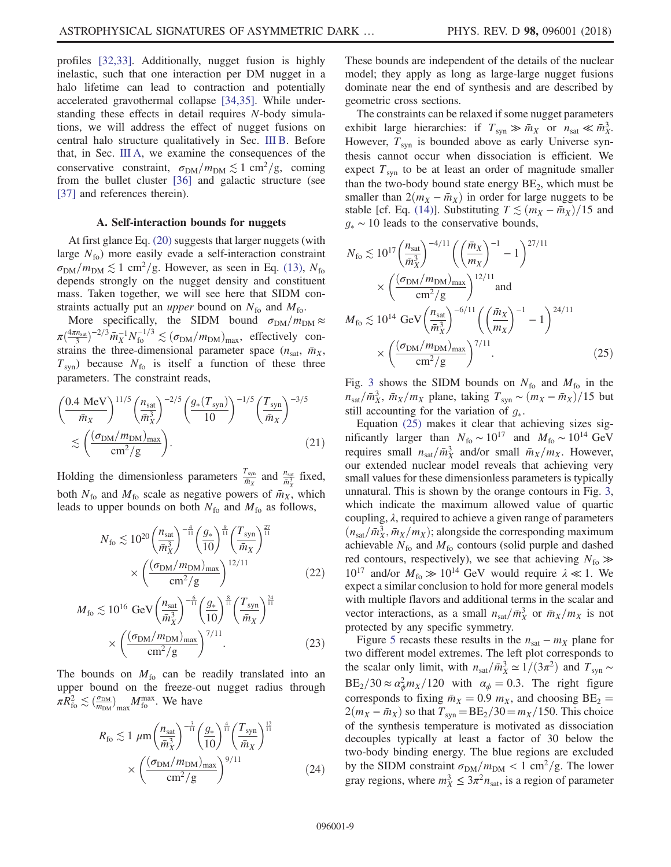profiles [\[32,33\]](#page-19-18). Additionally, nugget fusion is highly inelastic, such that one interaction per DM nugget in a halo lifetime can lead to contraction and potentially accelerated gravothermal collapse [\[34,35\]](#page-19-19). While understanding these effects in detail requires N-body simulations, we will address the effect of nugget fusions on central halo structure qualitatively in Sec. [III B](#page-9-0). Before that, in Sec. [III A](#page-8-2), we examine the consequences of the conservative constraint,  $\sigma_{DM}/m_{DM} \lesssim 1 \text{ cm}^2/\text{g}$ , coming from the bullet cluster [\[36\]](#page-19-20) and galactic structure (see [\[37\]](#page-19-21) and references therein).

#### A. Self-interaction bounds for nuggets

<span id="page-8-2"></span>At first glance Eq. [\(20\)](#page-7-2) suggests that larger nuggets (with large  $N_{\text{fo}}$ ) more easily evade a self-interaction constraint  $\sigma_{DM}/m_{DM} \lesssim 1$  cm<sup>2</sup>/g. However, as seen in Eq. [\(13\)](#page-5-1), N<sub>fo</sub> depends strongly on the nugget density and constituent mass. Taken together, we will see here that SIDM constraints actually put an *upper* bound on  $N_{\text{fo}}$  and  $M_{\text{fo}}$ .

More specifically, the SIDM bound  $\sigma_{DM}/m_{DM} \approx$  $\pi(\frac{4\pi n_{\text{sat}}}{3})^{-2/3}\bar{m}_X^{-1}N_{\text{fo}}^{-1/3} \lesssim (\sigma_{\text{DM}}/m_{\text{DM}})_{\text{max}}$ , effectively constrains the three-dimensional parameter space  $(n-\bar{m})$  $\frac{n_1}{3}$   $\frac{n_2}{3}$   $\frac{n_3}{16}$   $\approx$  ( $\frac{v_{DM}}{m_{DM}}$ , encellency constrains the three-dimensional parameter space  $(n_{sat}, \bar{m}_X,$  $T_{syn}$ ) because  $N_{fo}$  is itself a function of these three parameters. The constraint reads,

<span id="page-8-4"></span>
$$
\left(\frac{0.4 \text{ MeV}}{\bar{m}_X}\right)^{11/5} \left(\frac{n_{\text{sat}}}{\bar{m}_X^3}\right)^{-2/5} \left(\frac{g_*(T_{\text{syn}})}{10}\right)^{-1/5} \left(\frac{T_{\text{syn}}}{\bar{m}_X}\right)^{-3/5} \n\lesssim \left(\frac{(\sigma_{\text{DM}}/m_{\text{DM}})_{\text{max}}}{\text{cm}^2/\text{g}}\right).
$$
\n(21)

<span id="page-8-1"></span>Holding the dimensionless parameters  $\frac{T_{syn}}{\bar{m}_x}$  and  $\frac{n_{sat}}{\bar{m}_x^3}$  fixed, both  $N_{\text{fo}}$  and  $M_{\text{fo}}$  scale as negative powers of  $\bar{m}_X$ , which leads to upper bounds on both  $N_{\text{fo}}$  and  $M_{\text{fo}}$  as follows,

$$
N_{\text{fo}} \lesssim 10^{20} \left(\frac{n_{\text{sat}}}{\bar{m}_{X}^{3}}\right)^{-\frac{4}{11}} \left(\frac{g_{*}}{10}\right)^{\frac{9}{11}} \left(\frac{T_{\text{syn}}}{\bar{m}_{X}}\right)^{\frac{27}{11}} \times \left(\frac{(\sigma_{\text{DM}}/m_{\text{DM}})_{\text{max}}}{\text{cm}^{2}/g}\right)^{12/11} \tag{22}
$$

<span id="page-8-0"></span>
$$
M_{\rm fo} \lesssim 10^{16} \text{ GeV} \left(\frac{n_{\rm sat}}{\bar{m}_X^3}\right)^{-\frac{6}{11}} \left(\frac{g_*}{10}\right)^{\frac{8}{11}} \left(\frac{T_{\rm syn}}{\bar{m}_X}\right)^{\frac{24}{11}} \times \left(\frac{(\sigma_{\rm DM}/m_{\rm DM})_{\rm max}}{\text{cm}^2/\text{g}}\right)^{7/11} . \tag{23}
$$

The bounds on  $M_{\text{fo}}$  can be readily translated into an upper bound on the freeze-out nugget radius through  $\pi R_{\text{fo}}^2 \lesssim \left(\frac{\sigma_{\text{DM}}}{m_{\text{DM}}}\right)_{\text{max}} M_{\text{fo}}^{\text{max}}$ . We have

$$
R_{\text{fo}} \lesssim 1 \ \mu \text{m} \left(\frac{n_{\text{sat}}}{\bar{m}_X^3}\right)^{-\frac{3}{11}} \left(\frac{g_*}{10}\right)^{\frac{4}{11}} \left(\frac{T_{\text{syn}}}{\bar{m}_X}\right)^{\frac{12}{11}} \times \left(\frac{(\sigma_{\text{DM}}/m_{\text{DM}})_{\text{max}}}{\text{cm}^2/\text{g}}\right)^{9/11} \tag{24}
$$

These bounds are independent of the details of the nuclear model; they apply as long as large-large nugget fusions dominate near the end of synthesis and are described by geometric cross sections.

The constraints can be relaxed if some nugget parameters exhibit large hierarchies: if  $T_{syn} \gg \bar{m}_X$  or  $n_{sat} \ll \bar{m}_X^3$ . However,  $T_{syn}$  is bounded above as early Universe synthesis cannot occur when dissociation is efficient. We expect  $T_{syn}$  to be at least an order of magnitude smaller than the two-body bound state energy  $BE<sub>2</sub>$ , which must be smaller than  $2(m_X - \bar{m}_X)$  in order for large nuggets to be stable [cf. Eq. [\(14\)\]](#page-5-2). Substituting  $T \lesssim (m_X - \bar{m}_X)/15$  and  $g_* \sim 10$  leads to the conservative bounds,

<span id="page-8-3"></span>
$$
N_{\text{fo}} \lesssim 10^{17} \left(\frac{n_{\text{sat}}}{\bar{m}_X^3}\right)^{-4/11} \left(\left(\frac{\bar{m}_X}{m_X}\right)^{-1} - 1\right)^{27/11} \times \left(\frac{(\sigma_{\text{DM}}/m_{\text{DM}})_{\text{max}}}{\text{cm}^2/\text{g}}\right)^{12/11} \text{and}
$$
  

$$
M_{\text{fo}} \lesssim 10^{14} \text{ GeV} \left(\frac{n_{\text{sat}}}{\bar{m}_X^3}\right)^{-6/11} \left(\left(\frac{\bar{m}_X}{m_X}\right)^{-1} - 1\right)^{24/11} \times \left(\frac{(\sigma_{\text{DM}}/m_{\text{DM}})_{\text{max}}}{\text{cm}^2/\text{g}}\right)^{7/11} .
$$
 (25)

Fig. [3](#page-4-2) shows the SIDM bounds on  $N_{\text{fo}}$  and  $M_{\text{fo}}$  in the  $n_{\text{sat}}/\bar{m}_X^3$ ,  $\bar{m}_X/m_X$  plane, taking  $T_{\text{syn}} \sim (m_X - \bar{m}_X)/15$  but still accounting for the variation of a still accounting for the variation of  $q_*$ .

Equation [\(25\)](#page-8-3) makes it clear that achieving sizes significantly larger than  $N_{\text{fo}} \sim 10^{17}$  and  $M_{\text{fo}} \sim 10^{14} \text{ GeV}$ requires small  $n_{\text{sat}}/\bar{m}_X^3$  and/or small  $\bar{m}_X/m_X$ . However, our extended nuclear model reveals that achieving very small values for these dimensionless parameters is typically unnatural. This is shown by the orange contours in Fig. [3](#page-4-2), which indicate the maximum allowed value of quartic coupling,  $\lambda$ , required to achieve a given range of parameters  $(n_{\text{sat}}/\bar{m}_X^3, \bar{m}_X/m_X)$ ; alongside the corresponding maximum<br>achievable  $N_s$  and  $M_s$  contours (solid purple and dashed achievable  $N_{\text{fo}}$  and  $M_{\text{fo}}$  contours (solid purple and dashed red contours, respectively), we see that achieving  $N_{\text{fo}} \gg$  $10^{17}$  and/or  $M_{\text{fo}} \gg 10^{14}$  GeV would require  $\lambda \ll 1$ . We expect a similar conclusion to hold for more general models with multiple flavors and additional terms in the scalar and vector interactions, as a small  $n_{\text{sat}}/\bar{m}_{X}^{3}$  or  $\bar{m}_{X}/m_{X}$  is not protected by any specific symmetry.

Figure [5](#page-9-1) recasts these results in the  $n_{\text{sat}} - m_X$  plane for two different model extremes. The left plot corresponds to the scalar only limit, with  $n_{\text{sat}}/\bar{m}_{\text{X}}^3 \simeq 1/(3\pi^2)$  and  $T_{\text{syn}} \sim$  $BE_2/30 \approx \alpha_{\phi}^2 m_X/120$  with  $\alpha_{\phi} = 0.3$ . The right figure corresponds to fixing  $\bar{m}_X = 0.9$   $m_X$ , and choosing BE<sub>2</sub> =  $2(m_X - \bar{m}_X)$  so that  $T_{syn} = BE_2/30 = m_X/150$ . This choice of the synthesis temperature is motivated as dissociation decouples typically at least a factor of 30 below the two-body binding energy. The blue regions are excluded by the SIDM constraint  $\sigma_{DM}/m_{DM} < 1 \text{ cm}^2/\text{g}$ . The lower gray regions, where  $m_X^3 \leq 3\pi^2 n_{\text{sat}}$ , is a region of parameter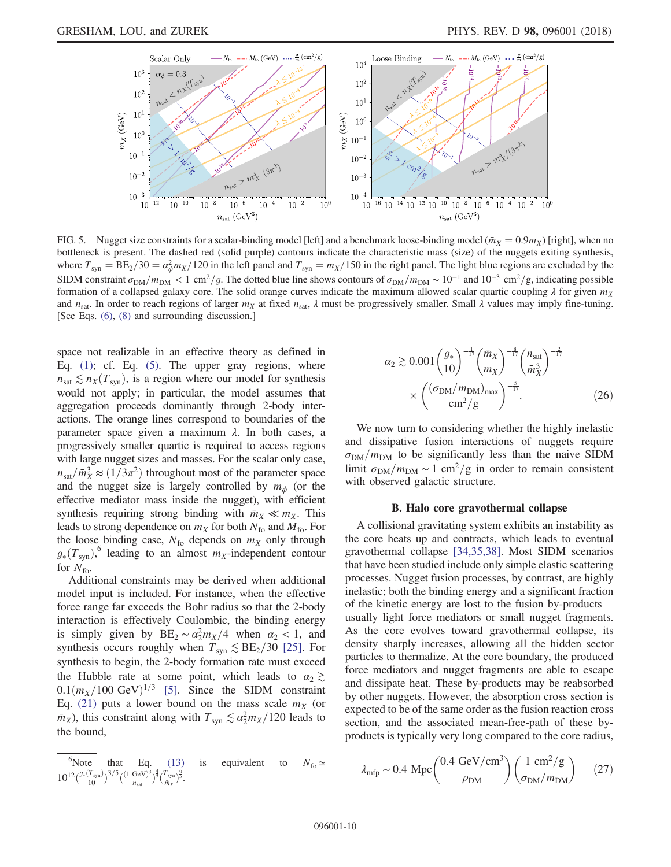<span id="page-9-1"></span>

FIG. 5. Nugget size constraints for a scalar-binding model [left] and a benchmark loose-binding model ( $\bar{m}_X = 0.9 m_X$ ) [right], when no bottleneck is present. The dashed red (solid purple) contours indicate the characteristic mass (size) of the nuggets exiting synthesis, where  $T_{syn} = BE_2/30 = \alpha_{\phi}^2 m_X/120$  in the left panel and  $T_{syn} = m_X/150$  in the right panel. The light blue regions are excluded by the SIDM constraint  $\epsilon_{\text{max}} = (m_{\phi} \epsilon_{\text{max}}^2/m_X^2)$  is the detted blue line change contain SIDM constraint  $\sigma_{DM}/m_{DM} < 1$  cm<sup>2</sup>/g. The dotted blue line shows contours of  $\sigma_{DM}/m_{DM} \sim 10^{-1}$  and  $10^{-3}$  cm<sup>2</sup>/g, indicating possible formation of a collapsed galaxy core. The solid orange curves indicate the maximum allowed scalar quartic coupling  $\lambda$  for given  $m_X$ and  $n_{\text{sat}}$ . In order to reach regions of larger  $m_X$  at fixed  $n_{\text{sat}}$ ,  $\lambda$  must be progressively smaller. Small  $\lambda$  values may imply fine-tuning. [See Eqs. [\(6\),](#page-3-2) [\(8\)](#page-4-1) and surrounding discussion.]

space not realizable in an effective theory as defined in Eq.  $(1)$ ; cf. Eq.  $(5)$ . The upper gray regions, where  $n_{\text{sat}} \lesssim n_X(T_{\text{syn}})$ , is a region where our model for synthesis would not apply; in particular, the model assumes that aggregation proceeds dominantly through 2-body interactions. The orange lines correspond to boundaries of the parameter space given a maximum λ. In both cases, a progressively smaller quartic is required to access regions with large nugget sizes and masses. For the scalar only case,  $n_{\text{sat}}/\bar{m}_{X}^{3} \approx (1/3\pi^{2})$  throughout most of the parameter space<br>and the pugget size is largely controlled by  $m_{\text{c}}$  (or the and the nugget size is largely controlled by  $m_{\phi}$  (or the effective mediator mass inside the nugget), with efficient synthesis requiring strong binding with  $\bar{m}_x \ll m_x$ . This leads to strong dependence on  $m<sub>X</sub>$  for both  $N<sub>fo</sub>$  and  $M<sub>fo</sub>$ . For the loose binding case,  $N_{\text{fo}}$  depends on  $m_X$  only through  $g_*(T_{syn})$ , leading to an almost  $m_X$ -independent contour for  $N_{\text{fo}}$ .

Additional constraints may be derived when additional model input is included. For instance, when the effective force range far exceeds the Bohr radius so that the 2-body interaction is effectively Coulombic, the binding energy is simply given by  $BE_2 \sim \alpha_2^2 m_X/4$  when  $\alpha_2 < 1$ , and synthesis occurs roughly when  $T_{syn} \lesssim BE_2/30$  [\[25\].](#page-19-16) For synthesis to begin, the 2-body formation rate must exceed the Hubble rate at some point, which leads to  $\alpha_2 \gtrsim$  $0.1(m_X/100 \text{ GeV})^{1/3}$  [\[5\].](#page-19-11) Since the SIDM constraint Eq. [\(21\)](#page-8-4) puts a lower bound on the mass scale  $m<sub>X</sub>$  (or  $\bar{m}_X$ ), this constraint along with  $T_{syn} \lesssim \alpha_2^2 m_X/120$  leads to the bound,



$$
\alpha_2 \gtrsim 0.001 \left(\frac{g_*}{10}\right)^{-\frac{1}{17}} \left(\frac{\bar{m}_X}{m_X}\right)^{-\frac{8}{17}} \left(\frac{n_{\text{sat}}}{\bar{m}_X^3}\right)^{-\frac{2}{17}} \times \left(\frac{(\sigma_{\text{DM}}/m_{\text{DM}})_{\text{max}}}{\text{cm}^2/\text{g}}\right)^{-\frac{5}{17}}.
$$
\n(26)

We now turn to considering whether the highly inelastic and dissipative fusion interactions of nuggets require  $\sigma_{DM}/m_{DM}$  to be significantly less than the naive SIDM limit  $\sigma_{DM}/m_{DM} \sim 1$  cm<sup>2</sup>/g in order to remain consistent with observed galactic structure.

#### B. Halo core gravothermal collapse

<span id="page-9-0"></span>A collisional gravitating system exhibits an instability as the core heats up and contracts, which leads to eventual gravothermal collapse [\[34,35,38\]](#page-19-19). Most SIDM scenarios that have been studied include only simple elastic scattering processes. Nugget fusion processes, by contrast, are highly inelastic; both the binding energy and a significant fraction of the kinetic energy are lost to the fusion by-products usually light force mediators or small nugget fragments. As the core evolves toward gravothermal collapse, its density sharply increases, allowing all the hidden sector particles to thermalize. At the core boundary, the produced force mediators and nugget fragments are able to escape and dissipate heat. These by-products may be reabsorbed by other nuggets. However, the absorption cross section is expected to be of the same order as the fusion reaction cross section, and the associated mean-free-path of these byproducts is typically very long compared to the core radius,

$$
\lambda_{\rm mfp} \sim 0.4 \, \text{Mpc} \left( \frac{0.4 \, \text{GeV}/\text{cm}^3}{\rho_{\rm DM}} \right) \left( \frac{1 \, \text{cm}^2/\text{g}}{\sigma_{\rm DM}/m_{\rm DM}} \right) \tag{27}
$$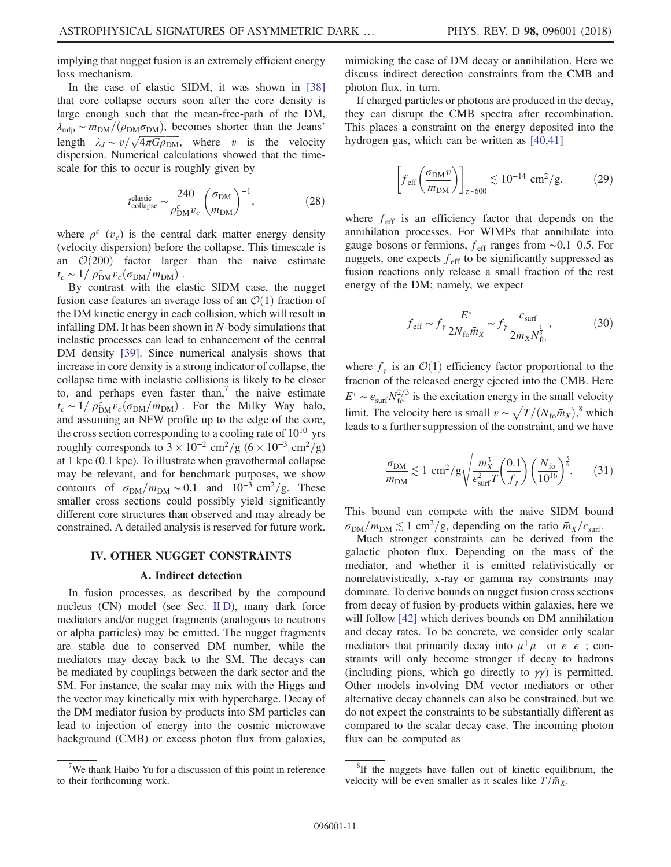implying that nugget fusion is an extremely efficient energy loss mechanism.

In the case of elastic SIDM, it was shown in [\[38\]](#page-19-22) that core collapse occurs soon after the core density is large enough such that the mean-free-path of the DM,  $\lambda_{\rm mfo} \sim m_{\rm DM}/(\rho_{\rm DM}\sigma_{\rm DM})$ , becomes shorter than the Jeans' length  $\lambda_J \sim v/\sqrt{4\pi G \rho_{DM}}$ , where v is the velocity dispersion. Numerical calculations showed that the timescale for this to occur is roughly given by

$$
t_{\text{collapse}}^{\text{elastic}} \sim \frac{240}{\rho_{\text{DM}}^c v_c} \left(\frac{\sigma_{\text{DM}}}{m_{\text{DM}}}\right)^{-1},\tag{28}
$$

where  $\rho^c$  ( $v_c$ ) is the central dark matter energy density (velocity dispersion) before the collapse. This timescale is an  $\mathcal{O}(200)$  factor larger than the naive estimate  $t_c \sim 1/[\rho_{\rm DM}^c v_c(\sigma_{\rm DM}/m_{\rm DM})].$ <br>By contrast with the el

By contrast with the elastic SIDM case, the nugget fusion case features an average loss of an  $\mathcal{O}(1)$  fraction of the DM kinetic energy in each collision, which will result in infalling DM. It has been shown in  $N$ -body simulations that inelastic processes can lead to enhancement of the central DM density [\[39\]](#page-19-23). Since numerical analysis shows that increase in core density is a strong indicator of collapse, the collapse time with inelastic collisions is likely to be closer to, and perhaps even faster than,<sup>7</sup> the naive estimate  $t_c \sim 1/[\rho_{\rm DM}^c v_c (\sigma_{\rm DM}/m_{\rm DM})]$ . For the Milky Way halo,<br>and assuming an NEW profile up to the edge of the core and assuming an NFW profile up to the edge of the core, the cross section corresponding to a cooling rate of  $10^{10}$  yrs roughly corresponds to  $3 \times 10^{-2}$  cm<sup>2</sup>/g (6 × 10<sup>-3</sup> cm<sup>2</sup>/g) at 1 kpc (0.1 kpc). To illustrate when gravothermal collapse may be relevant, and for benchmark purposes, we show contours of  $\sigma_{DM}/m_{DM} \sim 0.1$  and  $10^{-3}$  cm<sup>2</sup>/g. These smaller cross sections could possibly yield significantly different core structures than observed and may already be constrained. A detailed analysis is reserved for future work.

## <span id="page-10-0"></span>IV. OTHER NUGGET CONSTRAINTS

## A. Indirect detection

<span id="page-10-1"></span>In fusion processes, as described by the compound nucleus (CN) model (see Sec. [II D\)](#page-6-2), many dark force mediators and/or nugget fragments (analogous to neutrons or alpha particles) may be emitted. The nugget fragments are stable due to conserved DM number, while the mediators may decay back to the SM. The decays can be mediated by couplings between the dark sector and the SM. For instance, the scalar may mix with the Higgs and the vector may kinetically mix with hypercharge. Decay of the DM mediator fusion by-products into SM particles can lead to injection of energy into the cosmic microwave background (CMB) or excess photon flux from galaxies, mimicking the case of DM decay or annihilation. Here we discuss indirect detection constraints from the CMB and photon flux, in turn.

If charged particles or photons are produced in the decay, they can disrupt the CMB spectra after recombination. This places a constraint on the energy deposited into the hydrogen gas, which can be written as [\[40,41\]](#page-19-24)

$$
\left[ f_{\rm eff} \left( \frac{\sigma_{\rm DM} v}{m_{\rm DM}} \right) \right]_{z \sim 600} \lesssim 10^{-14} \text{ cm}^2/\text{g},\tag{29}
$$

where  $f_{\text{eff}}$  is an efficiency factor that depends on the annihilation processes. For WIMPs that annihilate into gauge bosons or fermions,  $f_{\text{eff}}$  ranges from ∼0.1–0.5. For nuggets, one expects  $f_{\text{eff}}$  to be significantly suppressed as fusion reactions only release a small fraction of the rest energy of the DM; namely, we expect

$$
f_{\rm eff} \sim f_{\gamma} \frac{E^*}{2N_{\rm fo}\bar{m}_X} \sim f_{\gamma} \frac{\epsilon_{\rm surf}}{2\bar{m}_X N_{\rm fo}^{\frac{1}{3}}},\tag{30}
$$

where  $f_{\gamma}$  is an  $\mathcal{O}(1)$  efficiency factor proportional to the fraction of the released energy ejected into the CMB. Here  $E^* \sim \epsilon_{\rm surf} N_{\rm fo}^{2/3}$  is the excitation energy in the small velocity limit. The velocity here is small  $v \sim \sqrt{T/(N_{\text{fo}}\bar{m}_X)}^8$  which leads to a further suppression of the constraint, and we have leads to a further suppression of the constraint, and we have

$$
\frac{\sigma_{\rm DM}}{m_{\rm DM}} \lesssim 1 \text{ cm}^2 / g \sqrt{\frac{\bar{m}_X^3}{\epsilon_{\rm surf}^2 T}} \left(\frac{0.1}{f_\gamma}\right) \left(\frac{N_{\rm fo}}{10^{16}}\right)^{\frac{5}{6}}.
$$
 (31)

This bound can compete with the naive SIDM bound  $\sigma_{DM}/m_{DM} \lesssim 1 \text{ cm}^2/\text{g}$ , depending on the ratio  $\bar{m}_X/\epsilon_{surf}$ .

Much stronger constraints can be derived from the galactic photon flux. Depending on the mass of the mediator, and whether it is emitted relativistically or nonrelativistically, x-ray or gamma ray constraints may dominate. To derive bounds on nugget fusion cross sections from decay of fusion by-products within galaxies, here we will follow [\[42\]](#page-19-25) which derives bounds on DM annihilation and decay rates. To be concrete, we consider only scalar mediators that primarily decay into  $\mu^+\mu^-$  or  $e^+e^-$ ; constraints will only become stronger if decay to hadrons (including pions, which go directly to  $\gamma\gamma$ ) is permitted. Other models involving DM vector mediators or other alternative decay channels can also be constrained, but we do not expect the constraints to be substantially different as compared to the scalar decay case. The incoming photon flux can be computed as

 $7$ We thank Haibo Yu for a discussion of this point in reference to their forthcoming work.

 ${}^{8}$ If the nuggets have fallen out of kinetic equilibrium, the velocity will be even smaller as it scales like  $T/\bar{m}_X$ .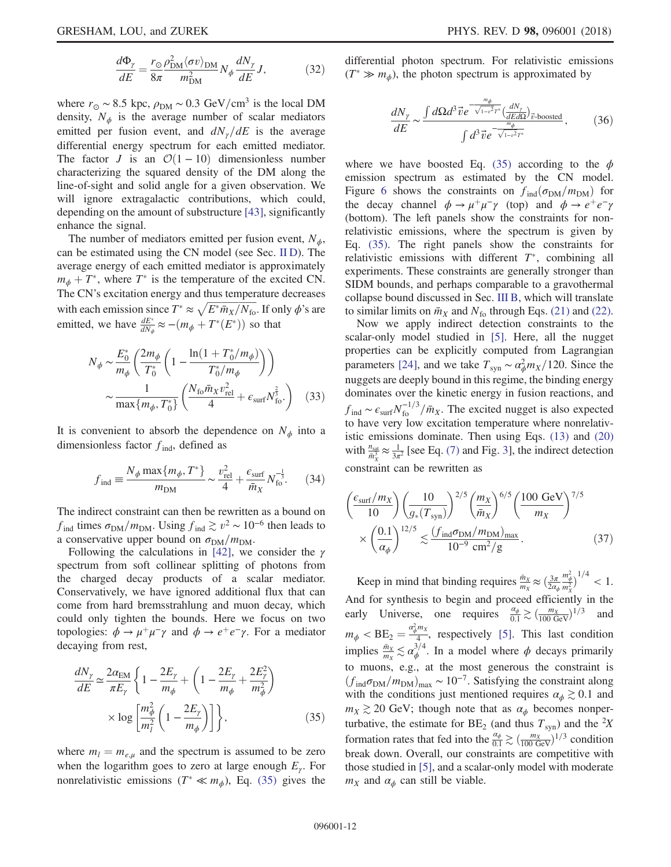$$
\frac{d\Phi_{\gamma}}{dE} = \frac{r_{\odot}}{8\pi} \frac{\rho_{\rm DM}^2 \langle \sigma v \rangle_{\rm DM}}{m_{\rm DM}^2} N_{\phi} \frac{dN_{\gamma}}{dE} J,\tag{32}
$$

where  $r_{\rm O} \sim 8.5$  kpc,  $\rho_{\rm DM} \sim 0.3$  GeV/cm<sup>3</sup> is the local DM density,  $N_{\phi}$  is the average number of scalar mediators emitted per fusion event, and  $dN_{\gamma}/dE$  is the average differential energy spectrum for each emitted mediator. The factor J is an  $\mathcal{O}(1 - 10)$  dimensionless number characterizing the squared density of the DM along the line-of-sight and solid angle for a given observation. We will ignore extragalactic contributions, which could, depending on the amount of substructure [\[43\]](#page-19-26), significantly enhance the signal.

The number of mediators emitted per fusion event,  $N_{\phi}$ , can be estimated using the CN model (see Sec. [II D\)](#page-6-2). The average energy of each emitted mediator is approximately  $m_{\phi} + T^*$ , where  $T^*$  is the temperature of the excited CN. The CN's excitation energy and thus temperature decreases with each emission since  $T^* \approx \sqrt{E^* \bar{m}_X/N_{\rm fo}}$ . If only  $\phi$ 's are emitted, we have  $\frac{dE^*}{dN_\phi} \approx -(m_\phi + T^*(E^*))$  so that

$$
N_{\phi} \sim \frac{E_0^*}{m_{\phi}} \left( \frac{2m_{\phi}}{T_0^*} \left( 1 - \frac{\ln(1 + T_0^*/m_{\phi})}{T_0^*/m_{\phi}} \right) \right)
$$

$$
\sim \frac{1}{\max\{m_{\phi}, T_0^*\}} \left( \frac{N_{\text{fo}} \bar{m}_X v_{\text{rel}}^2}{4} + \epsilon_{\text{surf}} N_{\text{fo}}^{\frac{2}{3}} \right) \quad (33)
$$

It is convenient to absorb the dependence on  $N_{\phi}$  into a dimensionless factor  $f_{\text{ind}}$ , defined as

$$
f_{\text{ind}} \equiv \frac{N_{\phi} \max\{m_{\phi}, T^*\}}{m_{\text{DM}}} \sim \frac{v_{\text{rel}}^2}{4} + \frac{\epsilon_{\text{surf}}}{\bar{m}_X} N_{\text{fo}}^{-\frac{1}{3}}.
$$
 (34)

The indirect constraint can then be rewritten as a bound on  $f_{\text{ind}}$  times  $\sigma_{\text{DM}}/m_{\text{DM}}$ . Using  $f_{\text{ind}} \gtrsim v^2 \sim 10^{-6}$  then leads to a conservative upper bound on  $\sigma_{DM}/m_{DM}$ .

Following the calculations in [\[42\]](#page-19-25), we consider the  $\gamma$ spectrum from soft collinear splitting of photons from the charged decay products of a scalar mediator. Conservatively, we have ignored additional flux that can come from hard bremsstrahlung and muon decay, which could only tighten the bounds. Here we focus on two topologies:  $\phi \rightarrow \mu^+ \mu^- \gamma$  and  $\phi \rightarrow e^+ e^- \gamma$ . For a mediator decaying from rest,

<span id="page-11-0"></span>
$$
\frac{dN_{\gamma}}{dE} \simeq \frac{2\alpha_{\text{EM}}}{\pi E_{\gamma}} \left\{ 1 - \frac{2E_{\gamma}}{m_{\phi}} + \left( 1 - \frac{2E_{\gamma}}{m_{\phi}} + \frac{2E_{\gamma}^{2}}{m_{\phi}^{2}} \right) \right\}
$$

$$
\times \log \left[ \frac{m_{\phi}^{2}}{m_{\gamma}^{2}} \left( 1 - \frac{2E_{\gamma}}{m_{\phi}} \right) \right] \right\},\tag{35}
$$

where  $m_l = m_{e,\mu}$  and the spectrum is assumed to be zero when the logarithm goes to zero at large enough  $E<sub>y</sub>$ . For nonrelativistic emissions ( $T^* \ll m_{\phi}$ ), Eq. [\(35\)](#page-11-0) gives the differential photon spectrum. For relativistic emissions  $(T^* \gg m_\phi)$ , the photon spectrum is approximated by

$$
\frac{dN_{\gamma}}{dE} \sim \frac{\int d\Omega d^3 \vec{v} e^{-\frac{m_{\phi}}{\sqrt{1 - v^2} T^*} \left(\frac{dN_{\gamma}}{dEd\Omega}\right) \vec{v} \text{-boosted}}}{\int d^3 \vec{v} e^{-\frac{m_{\phi}}{\sqrt{1 - v^2} T^*}}},\qquad(36)
$$

where we have boosted Eq. [\(35\)](#page-11-0) according to the  $\phi$ emission spectrum as estimated by the CN model. Figure [6](#page-12-0) shows the constraints on  $f_{\text{ind}}(\sigma_{\text{DM}}/m_{\text{DM}})$  for the decay channel  $\phi \rightarrow \mu^+ \mu^- \gamma$  (top) and  $\phi \rightarrow e^+ e^- \gamma$ (bottom). The left panels show the constraints for nonrelativistic emissions, where the spectrum is given by Eq. [\(35\).](#page-11-0) The right panels show the constraints for relativistic emissions with different  $T^*$ , combining all experiments. These constraints are generally stronger than SIDM bounds, and perhaps comparable to a gravothermal collapse bound discussed in Sec. [III B](#page-9-0), which will translate to similar limits on  $\bar{m}_x$  and  $N_{\text{fo}}$  through Eqs. [\(21\)](#page-8-4) and [\(22\)](#page-8-1).

Now we apply indirect detection constraints to the scalar-only model studied in [\[5\]](#page-19-11). Here, all the nugget properties can be explicitly computed from Lagrangian parameters [\[24\],](#page-19-10) and we take  $T_{syn} \sim \alpha_{\phi}^2 m_X/120$ . Since the nuggets are deeply bound in this regime, the binding energy dominates over the kinetic energy in fusion reactions, and  $f_{\text{ind}} \sim \epsilon_{\text{surf}} N_{\text{fo}}^{-1/3} / \bar{m}_X$ . The excited nugget is also expected to have very low excitation temperature where nonrelativistic emissions dominate. Then using Eqs. [\(13\)](#page-5-1) and [\(20\)](#page-7-2) with  $\frac{n_{\text{sat}}}{m_v^3} \approx \frac{1}{3\pi^2}$  $\frac{n_{\text{sat}}}{m_v^3} \approx \frac{1}{3\pi^2}$  $\frac{n_{\text{sat}}}{m_v^3} \approx \frac{1}{3\pi^2}$  [see Eq. [\(7\)](#page-3-3) and Fig. 3], the indirect detection X constraint can be rewritten as

$$
\frac{\left(\frac{\epsilon_{\rm surf}/m_X}{10}\right) \left(\frac{10}{g_*(T_{\rm syn})}\right)^{2/5} \left(\frac{m_X}{\bar{m}_X}\right)^{6/5} \left(\frac{100 \text{ GeV}}{m_X}\right)^{7/5}}{\times \left(\frac{0.1}{\alpha_{\phi}}\right)^{12/5} \lesssim \frac{(f_{\rm ind} \sigma_{\rm DM}/m_{\rm DM})_{\rm max}}{10^{-9} \text{ cm}^2/\text{g}}.
$$
\n(37)

Keep in mind that binding requires  $\frac{\bar{m}_X}{m_X} \approx \left(\frac{3\pi}{2\alpha_{\phi}}\right)^2$  $\frac{m_{\phi}^2}{m_X^2}$ Þ  $^{1/4}$  < 1. And for synthesis to begin and proceed efficiently in the early Universe, one requires  $\frac{\alpha_{\phi}}{0.1} \gtrsim \left(\frac{m_X}{100 \text{ GeV}}\right)^{1/3}$  and  $m_{\phi} < BE_2 = \frac{\alpha_{\phi}^2 m_X}{4}$ , respectively [\[5\]](#page-19-11). This last condition implies  $\frac{\bar{m}_X}{m_X} \lesssim \alpha_{\phi}^{3/4}$ . In a model where  $\phi$  decays primarily to muons, e.g., at the most generous the constraint is  $(f_{\text{ind}}\sigma_{\text{DM}}/m_{\text{DM}})_{\text{max}} \sim 10^{-7}$ . Satisfying the constraint along with the conditions just mentioned requires  $\alpha_{\phi} \gtrsim 0.1$  and  $m_X \gtrsim 20$  GeV; though note that as  $\alpha_{\phi}$  becomes nonperturbative, the estimate for  $BE_2$  (and thus  $T_{syn}$ ) and the <sup>2</sup>X formation rates that fed into the  $\frac{a_{\phi}}{0.1} \gtrsim \left(\frac{m_X}{100 \text{ GeV}}\right)^{1/3}$  condition break down. Overall, our constraints are competitive with those studied in [\[5\]](#page-19-11), and a scalar-only model with moderate  $m_X$  and  $\alpha_{\phi}$  can still be viable.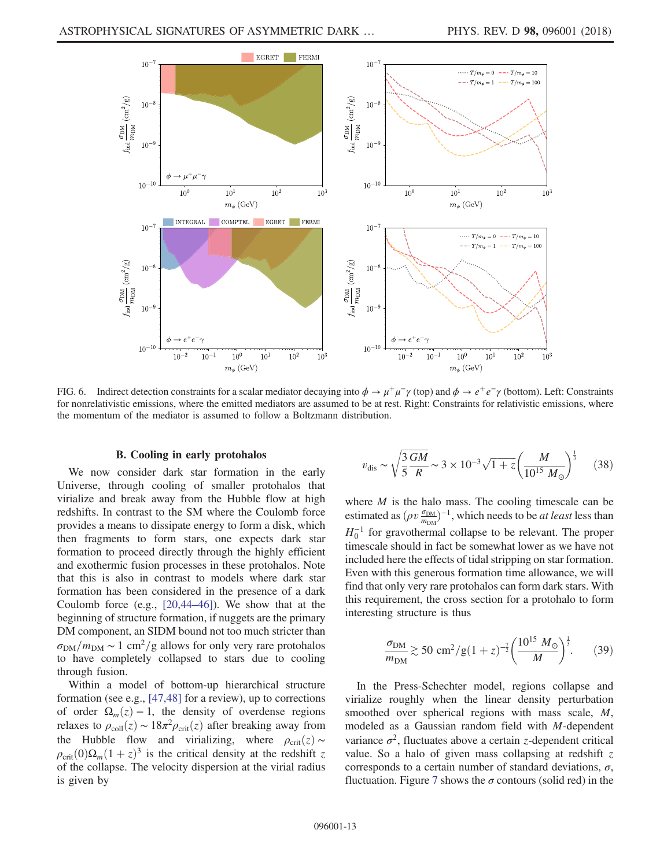<span id="page-12-0"></span>

FIG. 6. Indirect detection constraints for a scalar mediator decaying into  $\phi \to \mu^+\mu^-\gamma$  (top) and  $\phi \to e^+e^-\gamma$  (bottom). Left: Constraints for nonrelativistic emissions, where the emitted mediators are assumed to be at rest. Right: Constraints for relativistic emissions, where the momentum of the mediator is assumed to follow a Boltzmann distribution.

#### B. Cooling in early protohalos

We now consider dark star formation in the early Universe, through cooling of smaller protohalos that virialize and break away from the Hubble flow at high redshifts. In contrast to the SM where the Coulomb force provides a means to dissipate energy to form a disk, which then fragments to form stars, one expects dark star formation to proceed directly through the highly efficient and exothermic fusion processes in these protohalos. Note that this is also in contrast to models where dark star formation has been considered in the presence of a dark Coulomb force (e.g., [\[20,44](#page-19-8)–46]). We show that at the beginning of structure formation, if nuggets are the primary DM component, an SIDM bound not too much stricter than  $\sigma_{DM}/m_{DM} \sim 1 \text{ cm}^2/\text{g}$  allows for only very rare protohalos to have completely collapsed to stars due to cooling through fusion.

Within a model of bottom-up hierarchical structure formation (see e.g., [\[47,48\]](#page-19-27) for a review), up to corrections of order  $\Omega_m(z) - 1$ , the density of overdense regions relaxes to  $\rho_{\text{coll}}(z) \sim 18\pi^2 \rho_{\text{crit}}(z)$  after breaking away from the Hubble flow and virializing, where  $\rho_{\text{crit}}(z) \sim$  $\rho_{\rm crit}(0)\Omega_m(1+z)^3$  is the critical density at the redshift z of the collapse. The velocity dispersion at the virial radius is given by

$$
v_{\text{dis}} \sim \sqrt{\frac{3}{5} \frac{GM}{R}} \sim 3 \times 10^{-3} \sqrt{1 + z} \left(\frac{M}{10^{15} M_{\odot}}\right)^{\frac{1}{3}}
$$
 (38)

where  $M$  is the halo mass. The cooling timescale can be estimated as  $(\rho v \frac{\sigma_{DM}}{m_{DM}})^{-1}$ , which needs to be *at least* less than  $H_0^{-1}$  for gravothermal collapse to be relevant. The proper timescale should in fact be somewhat lower as we have not included here the effects of tidal stripping on star formation. Even with this generous formation time allowance, we will find that only very rare protohalos can form dark stars. With this requirement, the cross section for a protohalo to form interesting structure is thus

$$
\frac{\sigma_{\rm DM}}{m_{\rm DM}} \gtrsim 50 \text{ cm}^2/\text{g}(1+z)^{-\frac{7}{2}} \left(\frac{10^{15} M_{\odot}}{M}\right)^{\frac{1}{3}}.
$$
 (39)

In the Press-Schechter model, regions collapse and virialize roughly when the linear density perturbation smoothed over spherical regions with mass scale, M, modeled as a Gaussian random field with M-dependent variance  $\sigma^2$ , fluctuates above a certain *z*-dependent critical value. So a halo of given mass collapsing at redshift  $z$ corresponds to a certain number of standard deviations,  $\sigma$ , fluctuation. Figure [7](#page-13-1) shows the  $\sigma$  contours (solid red) in the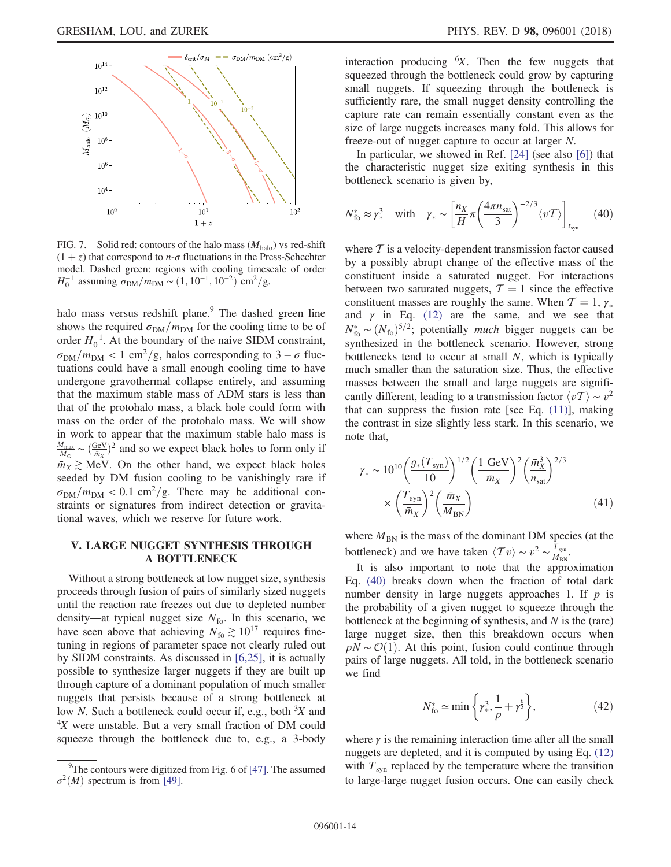<span id="page-13-1"></span>

FIG. 7. Solid red: contours of the halo mass  $(M<sub>halo</sub>)$  vs red-shift  $(1 + z)$  that correspond to  $n-\sigma$  fluctuations in the Press-Schechter model. Dashed green: regions with cooling timescale of order  $H_0^{-1}$  assuming  $\sigma_{\text{DM}}/m_{\text{DM}} \sim (1, 10^{-1}, 10^{-2}) \text{ cm}^2/\text{g}.$ 

halo mass versus redshift plane.<sup>9</sup> The dashed green line shows the required  $\sigma_{DM}/m_{DM}$  for the cooling time to be of order  $H_0^{-1}$ . At the boundary of the naive SIDM constraint,  $\sigma_{\text{DM}}/m_{\text{DM}} < 1 \text{ cm}^2/\text{g}$ , halos corresponding to 3 –  $\sigma$  fluctuations could have a small enough cooling time to have undergone gravothermal collapse entirely, and assuming that the maximum stable mass of ADM stars is less than that of the protohalo mass, a black hole could form with mass on the order of the protohalo mass. We will show in work to appear that the maximum stable halo mass is  $\frac{M_{\text{max}}}{M_{\odot}} \sim \left(\frac{\text{GeV}}{m_{\chi}}\right)^2$  and so we expect black holes to form only if  $m_X \gtrsim$  MeV. On the other hand, we expect black holes seeded by DM fusion cooling to be vanishingly rare if  $\sigma_{\text{DM}}/m_{\text{DM}} < 0.1 \text{ cm}^2/\text{g}$ . There may be additional constraints or signatures from indirect detection or gravitational waves, which we reserve for future work.

## <span id="page-13-0"></span>V. LARGE NUGGET SYNTHESIS THROUGH A BOTTLENECK

Without a strong bottleneck at low nugget size, synthesis proceeds through fusion of pairs of similarly sized nuggets until the reaction rate freezes out due to depleted number density—at typical nugget size  $N_{\text{fo}}$ . In this scenario, we have seen above that achieving  $N_{\rm fo} \gtrsim 10^{17}$  requires finetuning in regions of parameter space not clearly ruled out by SIDM constraints. As discussed in [\[6,25\],](#page-19-2) it is actually possible to synthesize larger nuggets if they are built up through capture of a dominant population of much smaller nuggets that persists because of a strong bottleneck at low N. Such a bottleneck could occur if, e.g., both  ${}^{3}X$  and  $4X$  were unstable. But a very small fraction of DM could squeeze through the bottleneck due to, e.g., a 3-body

interaction producing  $6X$ . Then the few nuggets that squeezed through the bottleneck could grow by capturing small nuggets. If squeezing through the bottleneck is sufficiently rare, the small nugget density controlling the capture rate can remain essentially constant even as the size of large nuggets increases many fold. This allows for freeze-out of nugget capture to occur at larger N.

<span id="page-13-2"></span>In particular, we showed in Ref. [\[24\]](#page-19-10) (see also [\[6\]\)](#page-19-2) that the characteristic nugget size exiting synthesis in this bottleneck scenario is given by,

$$
N_{\text{fo}}^* \approx \gamma_*^3 \quad \text{with} \quad \gamma_* \sim \left[ \frac{n_X}{H} \pi \left( \frac{4 \pi n_{\text{sat}}}{3} \right)^{-2/3} \langle v \mathcal{T} \rangle \right]_{t_{\text{syn}}} \quad (40)
$$

where  $T$  is a velocity-dependent transmission factor caused by a possibly abrupt change of the effective mass of the constituent inside a saturated nugget. For interactions between two saturated nuggets,  $T = 1$  since the effective constituent masses are roughly the same. When  $\mathcal{T} = 1$ ,  $\gamma_*$ and  $\gamma$  in Eq. [\(12\)](#page-5-3) are the same, and we see that  $N_{\text{fo}}^* \sim (N_{\text{fo}})^{5/2}$ ; potentially *much* bigger nuggets can be expanded in the bottleneck scenario. However strong synthesized in the bottleneck scenario. However, strong bottlenecks tend to occur at small N, which is typically much smaller than the saturation size. Thus, the effective masses between the small and large nuggets are significantly different, leading to a transmission factor  $\langle vT \rangle \sim v^2$ that can suppress the fusion rate [see Eq.  $(11)$ ], making the contrast in size slightly less stark. In this scenario, we note that,

$$
\gamma_{*} \sim 10^{10} \left(\frac{g_{*}(T_{syn})}{10}\right)^{1/2} \left(\frac{1 \text{ GeV}}{\bar{m}_{X}}\right)^{2} \left(\frac{\bar{m}_{X}^{3}}{n_{sat}}\right)^{2/3} \times \left(\frac{T_{syn}}{\bar{m}_{X}}\right)^{2} \left(\frac{\bar{m}_{X}}{M_{BN}}\right)
$$
\n(41)

where  $M_{BN}$  is the mass of the dominant DM species (at the bottleneck) and we have taken  $\langle Tv \rangle \sim v^2 \sim \frac{T_{syn}}{M_{\text{BV}}}$ .

It is also important to note that the approximation Eq. [\(40\)](#page-13-2) breaks down when the fraction of total dark number density in large nuggets approaches 1. If  $p$  is the probability of a given nugget to squeeze through the bottleneck at the beginning of synthesis, and  $N$  is the (rare) large nugget size, then this breakdown occurs when  $pN \sim \mathcal{O}(1)$ . At this point, fusion could continue through pairs of large nuggets. All told, in the bottleneck scenario we find

$$
N_{\text{fo}}^* \simeq \min\left\{ \gamma_*^3, \frac{1}{p} + \gamma^5 \right\},\tag{42}
$$

<span id="page-13-3"></span>where  $\gamma$  is the remaining interaction time after all the small nuggets are depleted, and it is computed by using Eq. [\(12\)](#page-5-3) with  $T_{syn}$  replaced by the temperature where the transition to large-large nugget fusion occurs. One can easily check

 $^{9}$ The contours were digitized from Fig. 6 of [\[47\]](#page-19-27). The assumed  $\sigma^2(M)$  spectrum is from [\[49\].](#page-19-28)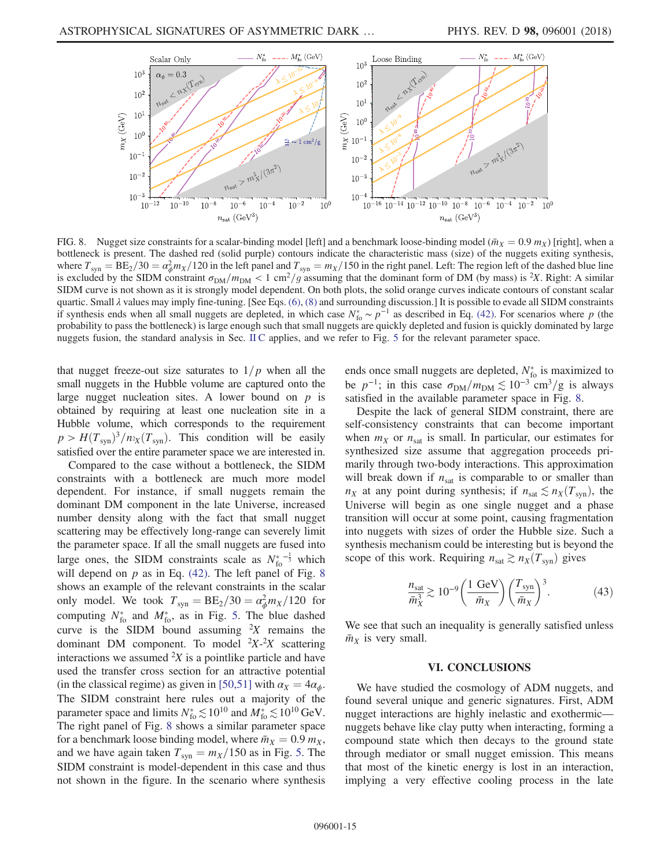<span id="page-14-0"></span>

FIG. 8. Nugget size constraints for a scalar-binding model [left] and a benchmark loose-binding model ( $\bar{m}_X = 0.9 m_X$ ) [right], when a bottleneck is present. The dashed red (solid purple) contours indicate the characteristic mass (size) of the nuggets exiting synthesis, where  $T_{syn} = BE_2/30 = \alpha_{\phi}^2 m_X/120$  in the left panel and  $T_{syn} = m_X/150$  in the right panel. Left: The region left of the dashed blue line<br>is excluded by the SIDM constraint  $\sigma_{PN}/m_{DN} < 1$  cm<sup>2</sup>/a assuming that the dominant is excluded by the SIDM constraint  $\sigma_{DM}/m_{DM} < 1 \text{ cm}^2/g$  assuming that the dominant form of DM (by mass) is <sup>2</sup>X. Right: A similar SIDM curve is not shown as it is strongly model dependent. On both plots, the solid orange curves indicate contours of constant scalar quartic. Small λ values may imply fine-tuning. [See Eqs. [\(6\)](#page-3-2), [\(8\)](#page-4-1) and surrounding discussion.] It is possible to evade all SIDM constraints if synthesis ends when all small nuggets are depleted, in which case  $N_{\text{fo}}^* \sim p^{-1}$  as described in Eq. [\(42\).](#page-13-3) For scenarios where p (the probability to pass the bottleneck) is large enough such that small nuggets are quickly depleted and fusion is quickly dominated by large nuggets fusion, the standard analysis in Sec. [II C](#page-5-0) applies, and we refer to Fig. [5](#page-9-1) for the relevant parameter space.

that nugget freeze-out size saturates to  $1/p$  when all the small nuggets in the Hubble volume are captured onto the large nugget nucleation sites. A lower bound on  $p$  is obtained by requiring at least one nucleation site in a Hubble volume, which corresponds to the requirement  $p > H(T_{syn})^3/n_x(T_{syn})$ . This condition will be easily equivalently equivalently equivalently equivalently satisfied over the entire parameter space we are interested in.

Compared to the case without a bottleneck, the SIDM constraints with a bottleneck are much more model dependent. For instance, if small nuggets remain the dominant DM component in the late Universe, increased number density along with the fact that small nugget scattering may be effectively long-range can severely limit the parameter space. If all the small nuggets are fused into large ones, the SIDM constraints scale as  $N_{\text{fo}}^*$  which will depend on  $p$  as in Eq. [\(42\)](#page-13-3). The left panel of Fig. [8](#page-14-0) shows an example of the relevant constraints in the scalar only model. We took  $T_{syn} = BE_2/30 = \alpha_p^2 m_X/120$  for computing  $N^*$  and  $M^*$  as in Fig. 5. The blue dechod computing  $N_{\text{fo}}^*$  and  $M_{\text{fo}}^*$ , as in Fig. [5.](#page-9-1) The blue dashed curve is the SIDM bound assuming  $2X$  remains the dominant DM component. To model  $2x-2x$  scattering interactions we assumed  $2X$  is a pointlike particle and have used the transfer cross section for an attractive potential (in the classical regime) as given in [\[50,51\]](#page-19-29) with  $\alpha_X = 4\alpha_{\phi}$ . The SIDM constraint here rules out a majority of the parameter space and limits  $N_{\text{fo}}^* \lesssim 10^{10}$  and  $M_{\text{fo}}^* \lesssim 10^{10} \text{ GeV}$ . The right panel of Fig. [8](#page-14-0) shows a similar parameter space for a benchmark loose binding model, where  $\bar{m}_X = 0.9 \, m_X$ , and we have again taken  $T_{syn} = m_X/150$  $T_{syn} = m_X/150$  $T_{syn} = m_X/150$  as in Fig. 5. The SIDM constraint is model-dependent in this case and thus not shown in the figure. In the scenario where synthesis

ends once small nuggets are depleted,  $N_{\text{fo}}^*$  is maximized to be  $p^{-1}$ ; in this case  $\sigma_{DM}/m_{DM} \lesssim 10^{-3}$  cm<sup>3</sup>/g is always satisfied in the available parameter space in Fig. [8.](#page-14-0)

Despite the lack of general SIDM constraint, there are self-consistency constraints that can become important when  $m_X$  or  $n_{sat}$  is small. In particular, our estimates for synthesized size assume that aggregation proceeds primarily through two-body interactions. This approximation will break down if  $n_{\text{sat}}$  is comparable to or smaller than  $n_X$  at any point during synthesis; if  $n_{sat} \lesssim n_X(T_{syn})$ , the Universe will begin as one single nugget and a phase transition will occur at some point, causing fragmentation into nuggets with sizes of order the Hubble size. Such a synthesis mechanism could be interesting but is beyond the scope of this work. Requiring  $n_{\text{sat}} \gtrsim n_X(T_{\text{syn}})$  gives

$$
\frac{n_{\text{sat}}}{\bar{m}_X^3} \gtrsim 10^{-9} \left( \frac{1 \text{ GeV}}{\bar{m}_X} \right) \left( \frac{T_{\text{syn}}}{\bar{m}_X} \right)^3. \tag{43}
$$

We see that such an inequality is generally satisfied unless  $\bar{m}_x$  is very small.

# VI. CONCLUSIONS

We have studied the cosmology of ADM nuggets, and found several unique and generic signatures. First, ADM nugget interactions are highly inelastic and exothermic nuggets behave like clay putty when interacting, forming a compound state which then decays to the ground state through mediator or small nugget emission. This means that most of the kinetic energy is lost in an interaction, implying a very effective cooling process in the late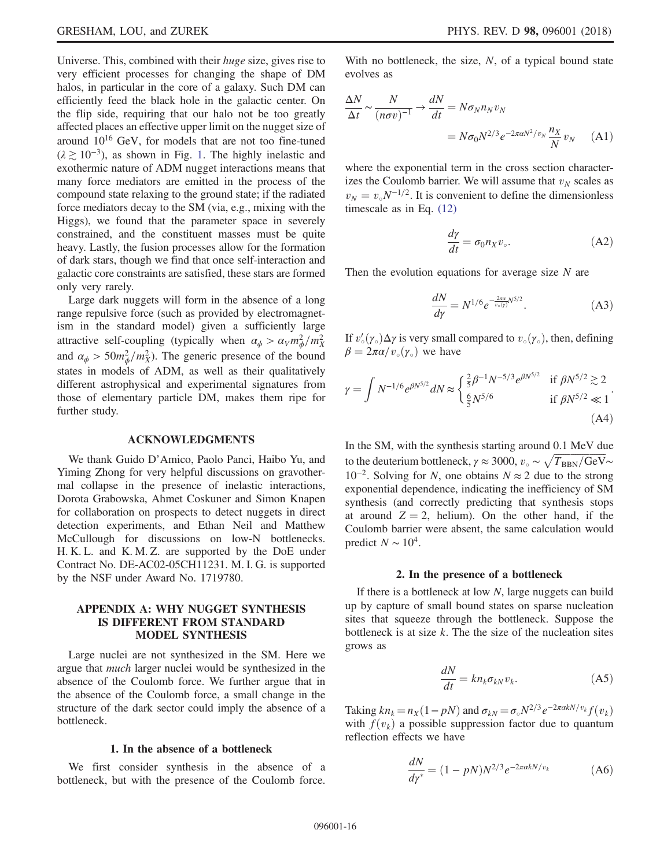Universe. This, combined with their huge size, gives rise to very efficient processes for changing the shape of DM halos, in particular in the core of a galaxy. Such DM can efficiently feed the black hole in the galactic center. On the flip side, requiring that our halo not be too greatly affected places an effective upper limit on the nugget size of around 1016 GeV, for models that are not too fine-tuned  $(\lambda \ge 10^{-3})$  $(\lambda \ge 10^{-3})$  $(\lambda \ge 10^{-3})$ , as shown in Fig. 1. The highly inelastic and exothermic nature of ADM nugget interactions means that many force mediators are emitted in the process of the compound state relaxing to the ground state; if the radiated force mediators decay to the SM (via, e.g., mixing with the Higgs), we found that the parameter space in severely constrained, and the constituent masses must be quite heavy. Lastly, the fusion processes allow for the formation of dark stars, though we find that once self-interaction and galactic core constraints are satisfied, these stars are formed only very rarely.

Large dark nuggets will form in the absence of a long range repulsive force (such as provided by electromagnetism in the standard model) given a sufficiently large attractive self-coupling (typically when  $\alpha_{\phi} > \alpha_{V} m_{\phi}^{2}/m_{X}^{2}$ and  $\alpha_{\phi} > 50 m_{\phi}^2/m_X^2$ ). The generic presence of the bound states in models of ADM, as well as their qualitatively different astrophysical and experimental signatures from those of elementary particle DM, makes them ripe for further study.

## ACKNOWLEDGMENTS

We thank Guido D'Amico, Paolo Panci, Haibo Yu, and Yiming Zhong for very helpful discussions on gravothermal collapse in the presence of inelastic interactions, Dorota Grabowska, Ahmet Coskuner and Simon Knapen for collaboration on prospects to detect nuggets in direct detection experiments, and Ethan Neil and Matthew McCullough for discussions on low-N bottlenecks. H. K. L. and K. M. Z. are supported by the DoE under Contract No. DE-AC02-05CH11231. M. I. G. is supported by the NSF under Award No. 1719780.

# <span id="page-15-0"></span>APPENDIX A: WHY NUGGET SYNTHESIS IS DIFFERENT FROM STANDARD MODEL SYNTHESIS

Large nuclei are not synthesized in the SM. Here we argue that much larger nuclei would be synthesized in the absence of the Coulomb force. We further argue that in the absence of the Coulomb force, a small change in the structure of the dark sector could imply the absence of a bottleneck.

#### 1. In the absence of a bottleneck

We first consider synthesis in the absence of a bottleneck, but with the presence of the Coulomb force.

With no bottleneck, the size,  $N$ , of a typical bound state evolves as

$$
\frac{\Delta N}{\Delta t} \sim \frac{N}{(n\sigma v)^{-1}} \to \frac{dN}{dt} = N\sigma_N n_N v_N
$$

$$
= N\sigma_0 N^{2/3} e^{-2\pi \alpha N^2/v_N} \frac{n_X}{N} v_N \quad (A1)
$$

where the exponential term in the cross section characterizes the Coulomb barrier. We will assume that  $v_N$  scales as  $v_N = v_0 N^{-1/2}$ . It is convenient to define the dimensionless timescale as in Eq. [\(12\)](#page-5-3)

$$
\frac{d\gamma}{dt} = \sigma_0 n_X v_\circ. \tag{A2}
$$

Then the evolution equations for average size  $N$  are

$$
\frac{dN}{d\gamma} = N^{1/6} e^{-\frac{2\pi a}{v_{\circ}(\gamma)} N^{5/2}}.
$$
\n(A3)

If  $v'_{\circ}(\gamma_{\circ})\Delta\gamma$  is very small compared to  $v_{\circ}(\gamma_{\circ})$ , then, defining  $\beta = 2\pi\alpha/v$  (*x*) we have  $\beta = 2\pi\alpha/v_0(\gamma_o)$  we have

$$
\gamma = \int N^{-1/6} e^{\beta N^{5/2}} dN \approx \begin{cases} \frac{2}{5} \beta^{-1} N^{-5/3} e^{\beta N^{5/2}} & \text{if } \beta N^{5/2} \gtrsim 2\\ \frac{6}{5} N^{5/6} & \text{if } \beta N^{5/2} \ll 1 \end{cases}.
$$
\n(A4)

In the SM, with the synthesis starting around 0.1 MeV due to the deuterium bottleneck,  $\gamma \approx 3000$ ,  $v_{\circ} \sim \sqrt{T_{\rm BBN}/\rm GeV} \sim$  $10^{-2}$ . Solving for N, one obtains  $N \approx 2$  due to the strong exponential dependence, indicating the inefficiency of SM synthesis (and correctly predicting that synthesis stops at around  $Z = 2$ , helium). On the other hand, if the Coulomb barrier were absent, the same calculation would predict  $N \sim 10^4$ .

#### 2. In the presence of a bottleneck

If there is a bottleneck at low N, large nuggets can build up by capture of small bound states on sparse nucleation sites that squeeze through the bottleneck. Suppose the bottleneck is at size  $k$ . The the size of the nucleation sites grows as

$$
\frac{dN}{dt} = kn_k \sigma_{kN} v_k.
$$
 (A5)

Taking  $kn_k = n_X(1-pN)$  and  $\sigma_{kN} = \sigma_o N^{2/3} e^{-2\pi \alpha kN/v_k} f(v_k)$ with  $f(v_k)$  a possible suppression factor due to quantum reflection effects we have

$$
\frac{dN}{d\gamma^*} = (1 - pN)N^{2/3}e^{-2\pi akN/v_k}
$$
 (A6)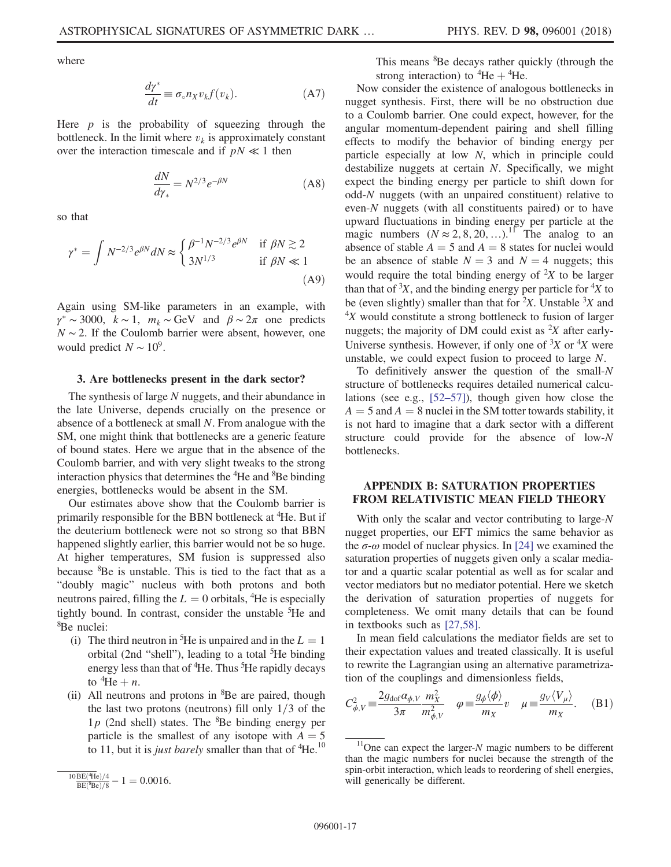where

$$
\frac{d\gamma^*}{dt} \equiv \sigma \, \delta n_X v_k f(v_k). \tag{A7}
$$

Here  $p$  is the probability of squeezing through the bottleneck. In the limit where  $v_k$  is approximately constant over the interaction timescale and if  $pN \ll 1$  then

$$
\frac{dN}{d\gamma_*} = N^{2/3} e^{-\beta N} \tag{A8}
$$

so that

$$
\gamma^* = \int N^{-2/3} e^{\beta N} dN \approx \begin{cases} \beta^{-1} N^{-2/3} e^{\beta N} & \text{if } \beta N \gtrsim 2\\ 3N^{1/3} & \text{if } \beta N \ll 1 \end{cases}
$$
(A9)

Again using SM-like parameters in an example, with  $\gamma^* \sim 3000$ ,  $k \sim 1$ ,  $m_k \sim \text{GeV}$  and  $\beta \sim 2\pi$  one predicts  $N \sim 2$ . If the Coulomb barrier were absent, however, one would predict  $N \sim 10^9$ .

## 3. Are bottlenecks present in the dark sector?

The synthesis of large N nuggets, and their abundance in the late Universe, depends crucially on the presence or absence of a bottleneck at small N. From analogue with the SM, one might think that bottlenecks are a generic feature of bound states. Here we argue that in the absence of the Coulomb barrier, and with very slight tweaks to the strong interaction physics that determines the <sup>4</sup>He and <sup>8</sup>Be binding energies, bottlenecks would be absent in the SM.

Our estimates above show that the Coulomb barrier is primarily responsible for the BBN bottleneck at <sup>4</sup>He. But if the deuterium bottleneck were not so strong so that BBN happened slightly earlier, this barrier would not be so huge. At higher temperatures, SM fusion is suppressed also because <sup>8</sup>Be is unstable. This is tied to the fact that as a "doubly magic" nucleus with both protons and both neutrons paired, filling the  $L = 0$  orbitals, <sup>4</sup>He is especially tightly bound. In contrast, consider the unstable <sup>5</sup>He and tightly bound. In contrast, consider the unstable <sup>5</sup>He and 8 Be nuclei:

- (i) The third neutron in <sup>5</sup>He is unpaired and in the  $L = 1$ <br>orbital (2nd "shell"), leading to a total <sup>5</sup>He binding orbital (2nd "shell"), leading to a total <sup>5</sup>He binding energy less than that of <sup>4</sup>He. Thus <sup>5</sup>He rapidly decays to  ${}^4\text{He} + n$ .<br>All neutron
- (ii) All neutrons and protons in <sup>8</sup>Be are paired, though the last two protons (neutrons) fill only  $1/3$  of the  $1p$  (2nd shell) states. The  ${}^{8}$ Be binding energy per particle is the smallest of any isotope with  $A = 5$ to 11, but it is *just barely* smaller than that of  ${}^{4}$ He.<sup>10</sup>

$$
\frac{{^{10}}\text{BE}({^{4}\text{He}})/4}{{^{8}\text{E}({^{8}\text{Be}})/8}}-1=0.0016.
$$

This means <sup>8</sup>Be decays rather quickly (through the strong interaction) to  ${}^{4}He + {}^{4}He$ .

Now consider the existence of analogous bottlenecks in nugget synthesis. First, there will be no obstruction due to a Coulomb barrier. One could expect, however, for the angular momentum-dependent pairing and shell filling effects to modify the behavior of binding energy per particle especially at low N, which in principle could destabilize nuggets at certain N. Specifically, we might expect the binding energy per particle to shift down for odd-N nuggets (with an unpaired constituent) relative to even-N nuggets (with all constituents paired) or to have upward fluctuations in binding energy per particle at the magic numbers  $(N \approx 2, 8, 20, ...)$ <sup>11</sup> The analog to an absence of stable  $A = 5$  and  $A = 8$  states for nuclei would be an absence of stable  $N = 3$  and  $N = 4$  nuggets; this would require the total binding energy of  $X$  to be larger than that of  ${}^{3}X$ , and the binding energy per particle for  ${}^{4}X$  to be (even slightly) smaller than that for  ${}^{2}X$ . Unstable  ${}^{3}X$  and  $4X$  would constitute a strong bottleneck to fusion of larger nuggets; the majority of DM could exist as  $2X$  after early-Universe synthesis. However, if only one of  ${}^{3}X$  or  ${}^{4}X$  were unstable, we could expect fusion to proceed to large N.

To definitively answer the question of the small- $N$ structure of bottlenecks requires detailed numerical calculations (see e.g., [\[52](#page-19-30)–57]), though given how close the  $A = 5$  and  $A = 8$  nuclei in the SM totter towards stability, it is not hard to imagine that a dark sector with a different structure could provide for the absence of low-N bottlenecks.

## <span id="page-16-0"></span>APPENDIX B: SATURATION PROPERTIES FROM RELATIVISTIC MEAN FIELD THEORY

With only the scalar and vector contributing to large-N nugget properties, our EFT mimics the same behavior as the  $\sigma$ - $\omega$  model of nuclear physics. In [\[24\]](#page-19-10) we examined the saturation properties of nuggets given only a scalar mediator and a quartic scalar potential as well as for scalar and vector mediators but no mediator potential. Here we sketch the derivation of saturation properties of nuggets for completeness. We omit many details that can be found in textbooks such as [\[27,58\]](#page-19-13).

In mean field calculations the mediator fields are set to their expectation values and treated classically. It is useful to rewrite the Lagrangian using an alternative parametrization of the couplings and dimensionless fields,

$$
C_{\phi,V}^2 \equiv \frac{2g_{\text{dof}}\alpha_{\phi,V}}{3\pi} \frac{m_X^2}{m_{\phi,V}^2} \quad \phi \equiv \frac{g_{\phi}\langle \phi \rangle}{m_X} v \quad \mu \equiv \frac{g_V \langle V_\mu \rangle}{m_X}.
$$
 (B1)

 $11$ One can expect the larger-N magic numbers to be different than the magic numbers for nuclei because the strength of the spin-orbit interaction, which leads to reordering of shell energies, will generically be different.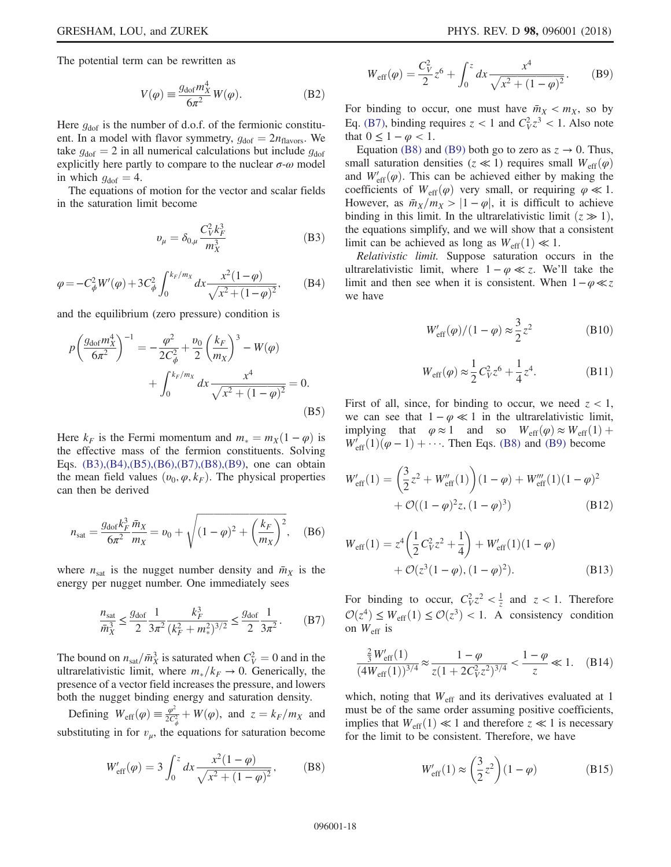The potential term can be rewritten as

$$
V(\varphi) \equiv \frac{g_{\text{dof}} m_X^4}{6\pi^2} W(\varphi). \tag{B2}
$$

Here  $g<sub>dof</sub>$  is the number of d.o.f. of the fermionic constituent. In a model with flavor symmetry,  $g_{\text{dof}} = 2n_{\text{flavors}}$ . We take  $g_{\text{dof}} = 2$  in all numerical calculations but include  $g_{\text{dof}}$ explicitly here partly to compare to the nuclear  $\sigma$ - $\omega$  model in which  $g_{\text{dof}} = 4$ .

<span id="page-17-0"></span>The equations of motion for the vector and scalar fields in the saturation limit become

$$
v_{\mu} = \delta_{0,\mu} \frac{C_V^2 k_F^3}{m_X^3}
$$
 (B3)

$$
\varphi = -C_{\phi}^{2}W'(\varphi) + 3C_{\phi}^{2} \int_{0}^{k_{F}/m_{X}} dx \frac{x^{2}(1-\varphi)}{\sqrt{x^{2} + (1-\varphi)^{2}}},
$$
 (B4)

and the equilibrium (zero pressure) condition is

$$
p\left(\frac{g_{\text{dof}}m_X^4}{6\pi^2}\right)^{-1} = -\frac{\varphi^2}{2C_{\phi}^2} + \frac{v_0}{2}\left(\frac{k_F}{m_X}\right)^3 - W(\varphi) + \int_0^{k_F/m_X} dx \frac{x^4}{\sqrt{x^2 + (1 - \varphi)^2}} = 0.
$$
\n(B5)

Here  $k_F$  is the Fermi momentum and  $m_* = m_X(1 - \varphi)$  is the effective mass of the fermion constituents. Solving Eqs. [\(B3\),\(B4\),\(B5\),\(B6\),\(B7\),\(B8\),\(B9\),](#page-17-0) one can obtain the mean field values  $(v_0, \varphi, k_F)$ . The physical properties can then be derived

$$
n_{\rm sat} = \frac{g_{\rm dof} k_F^3 \bar{m}_X}{6\pi^2} = v_0 + \sqrt{(1-\varphi)^2 + \left(\frac{k_F}{m_X}\right)^2}, \quad \text{(B6)}
$$

<span id="page-17-1"></span>where  $n_{\text{sat}}$  is the nugget number density and  $\bar{m}_X$  is the energy per nugget number. One immediately sees

$$
\frac{n_{\text{sat}}}{\bar{m}_X^3} \le \frac{g_{\text{dof}}}{2} \frac{1}{3\pi^2} \frac{k_F^3}{(k_F^2 + m_*^2)^{3/2}} \le \frac{g_{\text{dof}}}{2} \frac{1}{3\pi^2}.
$$
 (B7)

The bound on  $n_{\text{sat}}/\bar{m}_X^3$  is saturated when  $C_V^2 = 0$  and in the ultrarelativistic limit, where  $m/(k_B \rightarrow 0)$  Generically the ultrarelativistic limit, where  $m_*/k_F \rightarrow 0$ . Generically, the presence of a vector field increases the pressure, and lowers both the nugget binding energy and saturation density.

<span id="page-17-2"></span>Defining  $W_{\text{eff}}(\varphi) \equiv \frac{\varphi^2}{2C_{\varphi}^2} + W(\varphi)$ , and  $z = k_F/m_X$  and substituting in for  $v_{\mu}$ , the equations for saturation become

$$
W'_{\rm eff}(\varphi) = 3 \int_0^z dx \frac{x^2(1-\varphi)}{\sqrt{x^2 + (1-\varphi)^2}},
$$
 (B8)

<span id="page-17-3"></span>
$$
W_{\text{eff}}(\varphi) = \frac{C_V^2}{2} z^6 + \int_0^z dx \frac{x^4}{\sqrt{x^2 + (1 - \varphi)^2}}.
$$
 (B9)

For binding to occur, one must have  $\bar{m}_X < m_X$ , so by Eq. [\(B7\)](#page-17-1), binding requires  $z < 1$  and  $C_V^2 z^3 < 1$ . Also note that  $0 \leq 1 - \varphi < 1$ .

Equation [\(B8\)](#page-17-2) and [\(B9\)](#page-17-3) both go to zero as  $z \to 0$ . Thus, small saturation densities ( $z \ll 1$ ) requires small  $W_{\text{eff}}(\varphi)$ and  $W'_{\text{eff}}(\varphi)$ . This can be achieved either by making the coefficients of  $W_{\varphi}(\varphi)$  very small or requiring  $\varphi \ll 1$ . coefficients of  $W_{\text{eff}}(\varphi)$  very small, or requiring  $\varphi \ll 1$ . However, as  $\bar{m}_X/m_X > |1 - \varphi|$ , it is difficult to achieve binding in this limit. In the ultrarelativistic limit  $(z \gg 1)$ , the equations simplify, and we will show that a consistent limit can be achieved as long as  $W_{\text{eff}}(1) \ll 1$ .

Relativistic limit. Suppose saturation occurs in the ultrarelativistic limit, where  $1 - \varphi \ll z$ . We'll take the limit and then see when it is consistent. When  $1-\varphi \ll z$ we have

$$
W'_{\rm eff}(\varphi)/(1-\varphi) \approx \frac{3}{2}z^2 \qquad (B10)
$$

$$
W_{\rm eff}(\varphi) \approx \frac{1}{2} C_V^2 z^6 + \frac{1}{4} z^4.
$$
 (B11)

First of all, since, for binding to occur, we need  $z < 1$ , we can see that  $1 - \varphi \ll 1$  in the ultrarelativistic limit, implying that  $\varphi \approx 1$  and so  $W_{\text{eff}}(\varphi) \approx W_{\text{eff}}(1) +$  $W'_{\text{eff}}(1)(\varphi - 1) + \cdots$ . Then Eqs. [\(B8\)](#page-17-2) and [\(B9\)](#page-17-3) become

$$
W'_{\text{eff}}(1) = \left(\frac{3}{2}z^2 + W''_{\text{eff}}(1)\right)(1 - \varphi) + W'''_{\text{eff}}(1)(1 - \varphi)^2
$$

$$
+ \mathcal{O}((1 - \varphi)^2 z, (1 - \varphi)^3)
$$
(B12)

$$
W_{\text{eff}}(1) = z^4 \left( \frac{1}{2} C_V^2 z^2 + \frac{1}{4} \right) + W_{\text{eff}}'(1)(1 - \varphi)
$$
  
+  $\mathcal{O}(z^3 (1 - \varphi), (1 - \varphi)^2).$  (B13)

For binding to occur,  $C_V^2 z^2 < \frac{1}{z}$  and  $z < 1$ . Therefore  $\mathcal{O}(z^4) \leq W_{\text{eff}}(1) \leq \mathcal{O}(z^3) < 1$ . A consistency condition on  $W_{\text{eff}}$  is

$$
\frac{\frac{2}{3}W'_{\text{eff}}(1)}{(4W_{\text{eff}}(1))^{3/4}} \approx \frac{1-\varphi}{z(1+2C_V^2 z^2)^{3/4}} < \frac{1-\varphi}{z} \ll 1. \quad \text{(B14)}
$$

which, noting that  $W_{\text{eff}}$  and its derivatives evaluated at 1 must be of the same order assuming positive coefficients, implies that  $W_{\text{eff}}(1) \ll 1$  and therefore  $z \ll 1$  is necessary for the limit to be consistent. Therefore, we have

$$
W'_{\rm eff}(1) \approx \left(\frac{3}{2}z^2\right)(1-\varphi) \tag{B15}
$$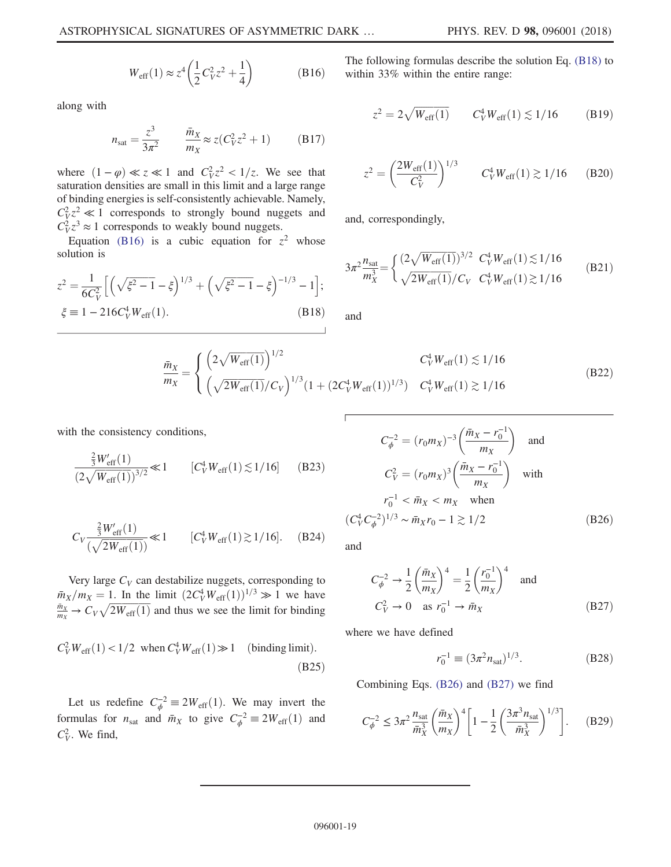$$
W_{\text{eff}}(1) \approx z^4 \left(\frac{1}{2}C_V^2 z^2 + \frac{1}{4}\right)
$$
 (B16)

<span id="page-18-0"></span>along with

$$
n_{\text{sat}} = \frac{z^3}{3\pi^2} \qquad \frac{\bar{m}_X}{m_X} \approx z(C_V^2 z^2 + 1) \tag{B17}
$$

where  $(1 - \varphi) \ll z \ll 1$  and  $C_V^2 z^2 < 1/z$ . We see that saturation densities are small in this limit and a large range saturation densities are small in this limit and a large range of binding energies is self-consistently achievable. Namely,  $C_V^2 z^2 \ll 1$  corresponds to strongly bound nuggets and  $C_V^2 z^3 \approx 1$  corresponds to weakly bound nuggets.

<span id="page-18-1"></span>Equation [\(B16\)](#page-18-0) is a cubic equation for  $z^2$  whose solution is

$$
z^{2} = \frac{1}{6C_{V}^{2}} \left[ \left( \sqrt{\xi^{2} - 1} - \xi \right)^{1/3} + \left( \sqrt{\xi^{2} - 1} - \xi \right)^{-1/3} - 1 \right];
$$
  

$$
\xi \equiv 1 - 216C_{V}^{4}W_{\text{eff}}(1).
$$
 (B18)

The following formulas describe the solution Eq. [\(B18\)](#page-18-1) to within 33% within the entire range:

$$
z^2 = 2\sqrt{W_{\rm eff}(1)} \qquad C_V^4 W_{\rm eff}(1) \lesssim 1/16 \qquad (B19)
$$

$$
z^{2} = \left(\frac{2W_{\rm eff}(1)}{C_{V}^{2}}\right)^{1/3} \qquad C_{V}^{4}W_{\rm eff}(1) \gtrsim 1/16 \qquad (B20)
$$

and, correspondingly,

$$
3\pi^2 \frac{n_{\text{sat}}}{m_X^3} = \begin{cases} (2\sqrt{W_{\text{eff}}(1)})^{3/2} & C_V^4 W_{\text{eff}}(1) \lesssim 1/16\\ \sqrt{2W_{\text{eff}}(1)}/C_V & C_V^4 W_{\text{eff}}(1) \gtrsim 1/16 \end{cases}
$$
(B21)

and

$$
\frac{\bar{m}_X}{m_X} = \begin{cases}\n\left(2\sqrt{W_{\text{eff}}(1)}\right)^{1/2} & C_V^4 W_{\text{eff}}(1) \lesssim 1/16 \\
\left(\sqrt{2W_{\text{eff}}(1)}/C_V\right)^{1/3} (1 + (2C_V^4 W_{\text{eff}}(1))^{1/3}) & C_V^4 W_{\text{eff}}(1) \gtrsim 1/16\n\end{cases}
$$
\n(B22)

with the consistency conditions,

$$
\frac{\frac{2}{3}W'_{\rm eff}(1)}{(2\sqrt{W_{\rm eff}(1)})^{3/2}} \ll 1
$$
 [C<sup>4</sup><sub>V</sub> $W_{\rm eff}(1) \lesssim 1/16$ ] (B23)

$$
C_V \frac{\frac{2}{3}W_{\text{eff}}'(1)}{(\sqrt{2W_{\text{eff}}(1)})} \ll 1
$$
 [C\_V^4 W\_{\text{eff}}(1) \gtrsim 1/16]. (B24)

Very large  $C_V$  can destabilize nuggets, corresponding to  $m_X/m_X = 1$ . In the limit  $(2C_V^4 W_{\text{eff}}(1))^{1/3} \gg 1$  we have  $\frac{m_X}{M} \rightarrow C_{V}$ .  $(2W_{\text{eff}}(1))$  and thus we see the limit for hinding  $\frac{\bar{m}_X}{m_X} \to C_V \sqrt{2W_{\text{eff}}(1)}$  and thus we see the limit for binding

 $C_V^2 W_{\text{eff}}(1) < 1/2$  when  $C_V^4 W_{\text{eff}}(1) \gg 1$  (binding limit).  $(B25)$ 

<span id="page-18-2"></span>Let us redefine  $C_{\phi}^{-2} \equiv 2W_{\text{eff}}(1)$ . We may invert the formulas for  $n_{\text{sat}}$  and  $\bar{m}_X$  to give  $C_{\phi}^{-2} \equiv 2W_{\text{eff}}(1)$  and  $C_{\phi}^2$ . We find  $C_V^2$ . We find,

$$
C_{\phi}^{-2} = (r_0 m_X)^{-3} \left( \frac{\bar{m}_X - r_0^{-1}}{m_X} \right) \text{ and}
$$
  
\n
$$
C_V^2 = (r_0 m_X)^3 \left( \frac{\bar{m}_X - r_0^{-1}}{m_X} \right) \text{ with}
$$
  
\n
$$
r_0^{-1} < \bar{m}_X < m_X \text{ when}
$$
  
\n
$$
(C_V^4 C_{\phi}^{-2})^{1/3} \sim \bar{m}_X r_0 - 1 \gtrsim 1/2
$$
 (B26)

<span id="page-18-3"></span>and

$$
C_{\phi}^{-2} \to \frac{1}{2} \left( \frac{\bar{m}_X}{m_X} \right)^4 = \frac{1}{2} \left( \frac{r_0^{-1}}{m_X} \right)^4 \text{ and}
$$
  

$$
C_V^2 \to 0 \text{ as } r_0^{-1} \to \bar{m}_X
$$
 (B27)

where we have defined

$$
r_0^{-1} \equiv (3\pi^2 n_{\rm sat})^{1/3}.
$$
 (B28)

Combining Eqs. [\(B26\)](#page-18-2) and [\(B27\)](#page-18-3) we find

$$
C_{\phi}^{-2} \le 3\pi^2 \frac{n_{\text{sat}}}{\bar{m}_X^3} \left(\frac{\bar{m}_X}{m_X}\right)^4 \left[1 - \frac{1}{2} \left(\frac{3\pi^3 n_{\text{sat}}}{\bar{m}_X^3}\right)^{1/3}\right].
$$
 (B29)